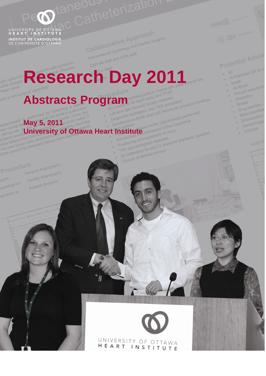# UNIVERSITY OF OTTAWA HEART INSTITUTE

Procedure Femoral Angiography Femoral Anglography<br>Cardiac Anglography Cardiac Ans<br>Suitable Anatomy od work up

- THE and agree and LV Principles<br>Simultaneous Ao and LV Principles<br>Closure of femoral access
- 
- 
- 
- **University of Ottawa Heart Institute**
- 
- 
- 
- 
- 
- **Abstracts Program**
- 

Intervents with symptom. Call lab staff and COR staff<br>
Video option for Research Additional arterial line,<br>
Insart valve.<br>
The although and direction and the completed arterial line.<br>
The although three ding a spection and

INSTITUT DE CARDIOLOGIE<br>DE L'UNIVERSITÉ D'OTTAWA

 $\bf \boldsymbol{\Omega}$ 

**May 5, 2011** 

UNIVERSITY OF OTTAWA<br>**HEART INSTITUTE** 

POST P

- Infection
- Mitral insum<br>Embolization<br>Embolization Embolizare<br>Hemorrhage
- Drug reaction.<br>Mitral insufficie
- Stroke<br>Drug reaction<br>Insufficit
- Stroke
- Pseudo L.<br>Dissection
- AV Block AV Block<br>Pseudo aneurysm
- Death
- 
- MI<br>Arrhythmias (VF & V
- Potential Adver

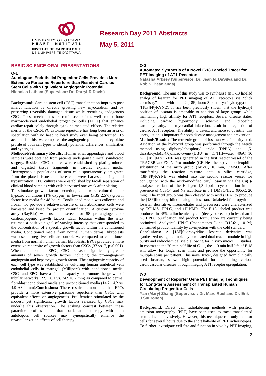

**May 5, 2011**

# **BASIC SCIENCE ORAL PRESENTATIONS**

#### **O-1**

**Autologous Endothelial Progenitor Cells Provide a More Extensive Paracrine Repertoire than Resident Cardiac Stem Cells with Equivalent Angiogenic Potential** 

**Nicholas Latham (Supervisor: Dr. Darryl R Davis)**

**Background:** Cardiac stem cell (CSC) transplantation improves post infarct function by directly growing new myocardium and by preserving reversibly damaged tissue while recruiting endogenous CSCs. These mechanisms are reminiscent of the well studied bone marrow-derived endothelial progenitor cells (EPCs) that enhance cardiac repair solely through cytokine mediated effects. The relative merits of the CSC/EPC cytokine repertoire has long been an area of speculation with no head to head study ever being performed. To accomplish this, we compared the angiogenic potential and cytokine profile of both cell types to identify potential differences, similarities and synergies.

**Methods/Preliminary Results:** Human atrial appendages and blood samples were obtained from patients undergoing clinically-indicated surgery. Resident CSC cultures were established by plating minced and digested tissue fragments in cardiac explant media. Heterogeneous populations of stem cells spontaneously emigrated from the plated tissue and these cells were harvested using mild trypsinization. EPC cultures were established by Ficoll separation of clinical blood samples with cells harvested one week after plating.

To stimulate growth factor secretion, cells were cultured under hypoxic conditions (1% oxygen) in low-serum (FBS 2.5%) growth factor-free media for 48 hours. Conditioned media was collected and frozen. To provide a relative measure of cell abundance, cells were harvested and lysed for protein quantification. A custom cytokine array (RayBio) was used to screen for 58 pro-angiogenic or cardiomyogenic growth factors. Each location within the array returned a positive signal of varying intensity that corresponded to the concentration of a specific growth factor within the conditioned media. Conditioned media from normal human dermal fibroblasts was used a negative cellular control. As compared to conditioned media from normal human dermal fibroblasts, EPCs provided a more extensive repertoire of growth factors than CSCs  $(37 \text{ vs. } 7, \text{ p} < 0.001)$ . When compared to EPCs, CSCs released significantly greater amounts of seven growth factors including the pro-angiogenic angiogenin and hepatocyte growth factor. The angiogenic capacity of each cell type was established by culturing human umbilical vein endothelial cells in matrigel (Millipore) with conditioned media. CSCs and EPCs have a similar capacity to promote the growth of tubular networks  $(22.1 \pm 6.1 \text{ vs. } 24.9 \pm 0.2 \text{ mm})$  as compared to dermal fibroblast conditioned media and unconditioned media (14.2  $\pm$ 4.2 vs. 4.9 ±3.4 mm).**Conclusions:** These results demonstrate that EPCs provide a more extensive paracrine repertoire than CSCs with equivalent effects on angiogenesis. Proliferation stimulated by the modest, yet significant, growth factors released by CSCs may underlie this observation. The striking contrast between these paracrine profiles hints that combination therapy with both autologous cell sources may synergistically enhance the revascularization effects of cell therapy.

# **O-2**

#### **Automated Synthesis of a Novel F-18 Labeled Tracer for PET Imaging of AT1 Receptors**

**Natasha Arksey (Supervisor: Dr. Jean N. DaSilva and Dr. Rob S. Beanlands)**

**Background:** The aim of this study was to synthesize an F-18 labeled analog of losartan for PET imaging of AT1 receptors via "click chemistry" with 2-[18F]fluoro-3-pent-4-yn-1-yloxypyridine ([18F]FPyKYNE). It has been previously shown that the hydroxyl position of losartan is amenable to addition of large groups while maintaining high affinity for AT1 receptors. Several disease states, including cardiac hypertrophy, ischemic and idiopathic cardiac hypertrophy, ischemic and idiopathic cardiomyopathy, and myocardial infarction, result in upregulation of cardiac AT1 receptors. The ability to detect, and more so quantify, this upregulation is important for both disease management and prevention. **Methods/Results:** The tetrazole group of losartan was first tritylated. Azidation of the hydroxyl group was performed through the Merck method using diphenylphosphoryl azide (DPPA) and 1,5 diazabicyclo(5.4.0)undec-5-ene (DBU) in 4:1 THF/water (40oC, 16 hr). [18F]FPyKYNE was generated in the first reactor vessel of the TRACERLab FX N Pro module (GE Healthcare) via nucleophilic substitution of the nitro group (145oC, 10 min, DMSO). After transferring the reaction mixture onto a silica cartridge, [18F]FPyKYNE was eluted into the second reactor vessel for conjugation with the azido-modified trityl losartan via the Cu(I) catalysed variant of the Huisgen 1,3-dipolar cycloaddition in the presence of CuSO4 and Na ascorbate in 5:1 DMSO/H2O (80oC, 20 min). The trityl group was then cleaved with acid (TFA) to produce the [18F]fluoropyridine analog of losartan. Unlabeled fluoropyridine losartan derivative, intermediates and precursors were characterized by ESI-MS, HPLC, and 1H-NMR. The F-18 labeled product was produced in >5% radiochemical yield (decay corrected) in less than 1 hr. HPLC purification and product formulation are currently being optimized. Analytical HPLC (Phenomenex Luna C(18)2 , 10 M) confirmed product identity by co-injection with the cold standard. **Conclusions:** A [18F]fluoropyridine losartan derivative was synthesized using a completely automated dual reactor module in high purity and radiochemical yield allowing for in vivo microPET studies. In contrast to the 20 min half life of C-11, the 110 min half-life of F-18 will allow for longer scan times and provide the opportunity for multiple scans per patient. This novel tracer, designed from clinically used losartan, shows high potential for monitoring various cardiovascular diseases through imaging AT1 receptor upregulation.

#### **O-3**

#### **Development of Reporter Gene PET Imaging Techniques for Long-term Assessment of Transplanted Human Circulating Progenitor Cells**

**Yan (Mary) Zhang (Supervisor: Dr. Marc Ruel and Dr. Erik J Suuronen)**

**Background:** Direct cell radiolabeling methods with positron emission tomography (PET) have been used to track transplanted stem cells noninvasively. However, this technique can only monitor cells for several hours due to the short half-life of PET radioisotopes. To further investigate cell fate and function in vivo by PET imaging,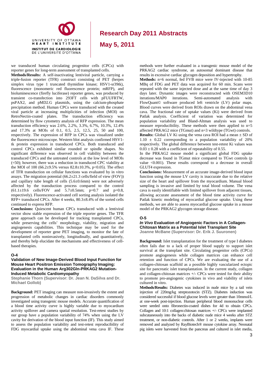

**May 5, 2011**

we transduced human circulating progenitor cells (CPCs) with reporter genes for long-term assessment of transplanted cells.

**Methods/Results:** A self-inactivating lentiviral particle, carrying a triple-fusion reporter (TFR) construct consisting of PET (herpes simplex virus type 1 truncated thymidine kinase; HSV1-sr39tk), fluorescence (monomeric red fluorescence protein; mRFP), and bioluminescence (firefly luciferase) reporter genes, was produced by transient co-transfection into 293FT cells with pFUUFRTW, psPAX2, and pMD2.G plasmids, using the calcium-phosphate precipitation method. Human CPCs were transduced with the created viral particle at increasing multiplicities of infection (MOI) on RetroNectin-coated plates. The transduction efficiency was determined by flow cytometry analysis of RFP expression. The mean transduction efficiency was 2.6%, 2.2%, 3.3%, 6.7%, 10.3%, 12.4% and 17.3% at MOIs of 0.1, 0.5, 2.5, 12.5, 25, 50 and 100, respectively. The expression of RFP in CPCs was visualized under the fluorescence microscope. Western blot analysis confirmed HSV1 tk protein expression in transduced CPCs. Both transduced and control CPCs exhibited similar rounded or spindle shapes. No significant difference was observed in cell viability between the transduced CPCs and the untreated controls at the low level of MOIs (=50); however, there was a reduction in transduced CPC viability at the MOI of 100 (66.2 $\pm$ 9.5% versus 82.8 $\pm$ 10.3%, p<0.05). The effect of TFR transduction on cellular functions was evaluated by in vitro assays. The migration potential  $(66.2 \pm 21.3 \text{ cells/field of view (FOV)})$ and capillary tube length of cells (5.6±0.6mm) were not adversely affected by the transduction process compared to the control  $(61.1 \pm 19.6 \text{ cells/FOV} \text{ and } 5.7 \pm 0.5 \text{mm}; \text{ p=0.7} \text{ and } \text{p=0.8},$ respectively). Fluorescence-activated cell sorting analysis isolated the RFP+ transduced CPCs. After 4 weeks, 80.3±8.4% of the sorted cells continued to express RFP.

**Conclusions:** Quiescent human CPCs transduced with a lentiviral vector show stable expression of the triple reporter genes. The TFR gene approach can be developed for tracking transplanted CPCs, while preserving the cells' morphology, viability, migration and angiogenesis capabilities. This technique may be used for the development of reporter gene PET imaging, to monitor the fate of transplanted cells noninvasively, longitudinally, and quantitatively, and thereby help elucidate the mechanisms and effectiveness of cellbased therapies.

#### **O-4**

#### **Validation of New Image-Derived Blood Input Function for Mouse Heart Positron Emission Tomography Imaging: Evaluation in the Human Arg302Gln-PRKAG2 Mutation-Induced Metabolic Cardiomyopathy**

**Stephanie Thorn (Supervisor: Dr. Jean N. DaSilva and Dr. Michael Gollob)**

**Background:** PET imaging can measure non-invasively the extent and progression of metabolic changes in cardiac disorders commonly investigated using transgenic mouse models. Accurate quantification of a blood time activity curve is highly variable due to myocardium activity spillover and camera spatial resolution. Test-retest studies by our group have a population variability of 74% when using the LV cavity for derivation of the blood input function (IF). This study aimed to assess the population variability and test-retest reproducibility of FDG myocardial uptake using the abdominal vena cava IF. These

methods were further evaluated in a transgenic mouse model of the PRKAG2 cardiac syndrome, an autosomal dominant disease that results in excessive cardiac glycogen deposition and hypertrophy.

**Methods:** n=6 normal, fed FVB mice were IV-injected with 10-85 MBq of FDG and PET data was acquired for 60 min. Scans were repeated with the same injected dose and at the same time of day 3 days later. Dynamic images were reconstructed with OSEM3D10 iterations/MAP0 iterations. Semi-automated analysis with FlowQuant© software produced left ventricle (LV) polar maps. Blood curves were derived from ROIs drawn on the abdominal vena cava. The fractional rate of uptake values (Ki) were derived from Patlak analysis. Coefficient of variation was determined for population variability and Bland-Altman analysis was used to measure reproducibility. These methods were then applied to  $n=5$ affected PRKAG2 mice (TGmut) and n=3 wildtype (TGwt) controls. **Results:** Global LV Ki using the vena cava ROI had a mean  $\pm$  SD of  $1.10 \pm 0.22$  corresponding to a population variability of 20%

respectively. The global difference between test-retest Ki values was  $0.03 \pm 0.28$  with a coefficient of repeatability of 0.55. In the PRKAG2 mouse model a significant global FDG uptake decrease was found in TGmut mice compared to TGwt controls (p

value <0.001). These results correspond to a decrease in overall GLUT4 expression.

**Conclusions:** Measurement of an accurate image-derived blood input function using the mouse LV cavity is inaccurate due to the relative size of the heart and spillover from the myocardium. Manual blood sampling is invasive and limited by total blood volume. The vena cava is easily identifiable with limited spillover from adjacent tissues, allowing accurate assessment of the blood time activity curve for Patlak kinetic modeling of myocardial glucose uptake. Using these methods, we are able to assess myocardial glucose uptake in a mouse model of the PRKAG2 glycogen storage disease.

#### **O-5**

#### *In Vivo* **Evaluation of Angiogenic Factors in A Collagen-Chitosan Matrix as a Potential Islet Transplant Site Joanne McBane (Supervisor: Dr. Erik J. Suuronen)**

**Background:** Islet transplantation for the treatment of type I diabetes often fails due to a lack of proper blood supply to support islet survival at the transplant site. Circulating progenitor cells (CPCs) promote angiogenesis while collagen matrices can enhance cell retention and function of CPCs. We are evaluating the use of a collagen-chitosan scaffold as a possible highly vascularized ectopic site for pancreatic islet transplantation. In the current study, collagen and collagen-chitosan matrices +/- CPCs were tested for their ability to promote pro-angiogenic cytokines in vivo and viability of islets cultured in vitro.

**Methods/Results:** Diabetes was induced in nude mice by a tail vein injection of 220mg/kg streptozotocin (STZ). Diabetes induction was considered successful if blood glucose levels were greater than 10mmol/L at one-week post-injection. Human peripheral blood mononuclear cells were seeded onto fibronectin-coated dishes for 4d to obtain CPCs. Collagen and 10:1 collagen:chitosan matrices +/- CPCs were implanted subcutaneously into the backs of diabetic nude mice 4 weeks after STZ treatment, or non-diabetic controls. After 1 or 2 weeks, implants were removed and analyzed by RayBiotech® mouse cytokine array. Neonatal pig islets were harvested from the pancreas and cultured in islet media,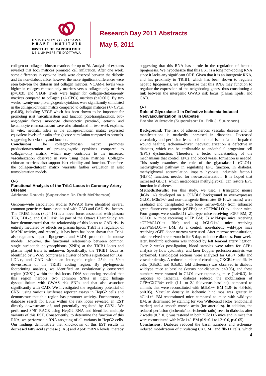

**May 5, 2011**

collagen or collagen-chitosan matrices for up to 7d. Analysis of explants revealed that both matrices promoted cell infiltration. After one week, some differences in cytokine levels were observed between the diabetic and the non-diabetic mice; however the more significant differences were seen between the chitosan and collagen matrices. VCAM-1 levels were higher in collagen-chitosan-only matrices versus collagen-only matrices (p=0.03), and VEGF levels were higher for collagen-chitosan-only matrices compared to collagen  $(+/-$  CPCs) matrices ( $p<0.001$ ). By two weeks, twenty-one pro-angiogenic cytokines were significantly stimulated in the collagen-chitosan matrix compared to collagen matrices (+/- CPCs; p<0.05), including VEGF which has been shown to be important for promoting islet vascularization and function post-transplantation. Proangiogenic factors monocyte chemotactic protein-5, eotaxin and keratinocyte chemoattractant were also stimulated in two week explants. In vitro, neonatal islets in the collagen-chitosan matrix expressed equivalent levels of insulin after glucose stimulation compared to controls, suggesting islet viability and function.<br>Conclusions: The collagen-

The collagen-chitosan matrix promotes production/retention of pro-angiogenic cytokines compared to collagen-only matrix, which may contribute to the increased vascularization observed in vivo using these matrices. Collagenchitosan matrices also support islet viability and function. Therefore, the collagen-chitosan matrix warrants further evaluation in islet transplantation models.

#### **O-6**

#### **Functional Analysis of the Trib1 Locus in Coronary Artery Disease**

**Adrianna Douvris (Supervisor: Dr. Ruth McPherson)**

Genome-wide association studies (GWAS) have identified several common genetic variants associated with CAD and CAD risk factors. The TRIB1 locus (8q24.13) is a novel locus associated with plasma TGs, LDL-c, and CAD risk. As part of the Ottawa Heart Study, we have demonstrated that the relationship of this locus to CAD risk is entirely mediated by effects on plasma lipids. Trib1 is a regulator of MAPK activity, and recently, it has been has been shown that Trib1 also regulates hepatic lipogenesis and VLDL production in mouse models. However, the functional relationship between common single nucleotide polymorphisms (SNPs) at the TRIB1 locus and plasma lipid traits is unknown. Specifically, the TRIB1 locus as identified by GWAS comprises a cluster of SNPs significant for TGs, LDL-c, and CAD within an intergenic region 25kb to 50kb downstream of the TRIB1 coding region. By phylogenetic footprinting analysis, we identified an evolutionarily conserved region (CNS1) within the risk locus. DNA sequencing revealed that this region harbors two common SNPs in tight linkage dysequilibrium with GWAS risk SNPs and that also associate significantly with CAD. We investigated the regulatory potential of CNS1 using various luciferase reporter assays in HepG2 cells and demonstrate that this region has promoter activity. Furthermore, a database search for ESTs within the risk locus revealed an EST directly downstream of, and potentially regulated by CNS1. We performed 3'/5' RACE using HepG2 RNA and identified multiple variants of this EST. Consequently, to determine the function of this RNA, we performed siRNA targeting of all variants in HepG2 cells. Our findings demonstrate that knockdown of this EST results in decreased fatty acid synthase (FAS) and ApoB mRNA levels, thereby

suggesting that this RNA has a role in the regulation of hepatic lipogenesis. We hypothesize that this EST is a long non-coding RNA since it lacks any significant ORF. Given that it is an intergenic RNA, and has proximity to TRIB1, which has been shown to regulate hepatic lipogenesis, we hypothesize that this RNA may function to regulate the expression of the neighboring genes, thus constituting a link between the intergenic GWAS risk locus, plasma lipids, and CAD.

#### **O-7**

## **Role of Glyoxalase-1 in Defective Ischemia-Induced Neovascularization in Diabetes**

**Branka Vulesevic (Supervisor: Dr. Erik J. Suuronen)** 

**Background:** The risk of atherosclerotic vascular disease and its manifestations is markedly increased in diabetics. Decreased vascularity and perfusion leads to functional ischemia and impaired wound healing. Ischemia-driven neovascularization is defective in diabetes, which can be attributable to endothelial progenitor cell (EPC) dysfunction. Therefore, a better understanding of the mechanisms that control EPCs and blood vessel formation is needed. This study examines the role of the glyoxalase-1 (GLO1) methylglyoxal pathway in regulating EPC function. In diabetes, methylglyoxal accumulation impairs hypoxia inducible factor-1 (HIF-1) function, needed for neovascularization. It is hoped that increased GLO1, which metabolizes methylglyoxal, can restore EPC function in diabetes.

**Methods/Results:** For this study, we used a transgenic mouse (hGlo1+/-) developed on a C57/BL6 background to over-expresses GLO1. hGlo1+/- and non-transgenic littermates (8-10wk males) were irradiated and transplanted with bone marrow(BM) from enhanced green fluorescent protein (eGFP+) or eGFP/hGLO1+/- donor mice. Four groups were studied:1) wild-type mice receiving eGFP BM; 2) hGLO1+/- mice receiving eGFP BM; 3) wild-type mice receiving  $eGFP/hGLO1+/-$  BM; and 4)  $hGLO1+/-$  mice receiving eGFP/hGLO1+/- BM. As a control, non-diabetic wild-type mice receiving eGFP donor marrow were used. After marrow reconstitution, mice received streptozotocin for 5 days to induce diabetes. Four weeks later, hindlimb ischemia was induced by left femoral artery ligation. Over 2 weeks post-ligation, blood samples were taken for GFP+ analysis by flow cytometry, and laser Doppler perfusion analysis was performed. Histological sections were analyzed for GFP+ cells and vascular density. A reduced number of circulating CXCR4+ and flk-1+ cells  $(0.8\pm0.1$  and  $(0.3\pm0.1)$  fold difference) was observed in diabetic wildtype mice at baseline (versus non-diabetics,  $p<0.05$ ), and these numbers were restored in GLO1 over-expressing mice (1.4±0.3). In response to ischemia, diabetes reduced the mobilization of GFP+CXCR4+ cells (1.1- to 2.1-foldversus baseline), compared to animals that were reconstituted with hGlo1+/- BM (1.9- to 4.3-fold; p<0.05). Vascular density in ischemic hindlimbs was greater in hGlo1+/- BM-reconstituted mice compared to mice with wild-type BM, as determined by staining for von Willebrand factor (endothelial marker) and a-smooth muscle actin (for arterioles). In addition, the reduced perfusion (ischemic/non-ischemic ratio) seen in diabetics after 2 weeks  $(0.7\pm0.1)$  was restored in both hGlo1+/- mice and in mice that were reconstituted with hGlo1+/- BM  $(0.9\pm0.1 \text{ to } 1.2\pm0.0, \text{ p}<0.05)$ .

**Conclusions:** Diabetes reduced the basal numbers and ischemiainduced mobilization of circulating CXCR4+ and flk-1+ cells, which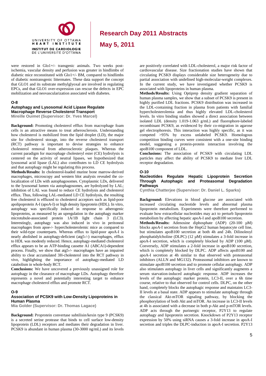

**May 5, 2011**

were restored in Glo1+/- transgenic animals. Two weeks postischemia, vascular density and perfusion was greater in hindlimbs of diabetic mice reconstituted with Glo1+/- BM, compared to hindlimbs of diabetic nontransgenic littermates. These data support the concept that GLO1 and its substrate methylglyoxal are involved in regulating EPCs, and that GLO1 over-expression can rescue the defects in EPC mobilization and neovascularization associated with diabetes.

#### **O-8**

### **Autophagy and Lysosomal Acid Lipase Regulate Macrophage Reverse Cholesterol Transport**

**Mireille Ouimet (Supervisor: Dr. Yves Marcel)**

**Background:** Promoting cholesterol efflux from macrophage foam cells is an attractive means to treat atherosclerosis. Understanding how cholesterol is mobilized from the lipid droplet (LD), the major site for cholesterol storage, into the reverse cholesterol transport (RCT) pathway is important to devise strategies to enhance cholesterol removal from atherosclerotic plaques. Whereas the current paradigm for macrophage cholesteryl ester (CE) hydrolysis is centered on the activity of neutral lipases, we hypothesized that lysosomal acid lipase (LAL) also contributes to LD CE hydrolysis and that autophagy might be regulating this process.

**Methods/Results:** In cholesterol-loaded murine bone marrow-derived macrophages, microscopy and western blot analysis revealed the colocalization of LDs with autophagosomes. Cytoplasmic LDs, delivered to the lysosomal lumen via autophagosomes, are hydrolyzed by LAL; inhibition of LAL was found to reduce CE hydrolysis and cholesterol efflux. Thus, following LAL-mediated LD CE hydrolysis, the resulting free cholesterol is effluxed to cholesterol acceptors such as lipid-poor apolipoprotein A-I (apoA-I) or high density lipoprotein (HDL). In vitro, autophagy was specifically induced in response to atherogenic lipoproteins, as measured by an upregulation in the autophagy marker microtubule-associated protein 1A/1B light chain 3 (LC3). Interestingly, autophagy was also induced in vivo in peritoneal macrophages from apoe-/- hypercholesterolemic mice as compared to their wild-type counterparts. Whereas efflux to lipid-poor apoA-I is nearly abolished in autophagy-deficient (atg5-/-) macrophages, efflux to HDL was modestly reduced. Hence, autophagy-mediated cholesterol efflux appears to be an ATP-binding cassette A1 (ABCA1)-dependent process. Finally, we show that atg5-/- macrophages have an impaired ability to clear accumulated 3H-cholesterol into the RCT pathway in vivo, highlighting the importance of autophagy-mediated LD catabolism in whole-body RCT.

**Conclusions:** We have uncovered a previously unassigned role for autophagy in the clearance of macrophage LDs. Autophagy therefore represents a novel and potentially interesting target to enhance macrophage cholesterol efflux and promote RCT.

### **O-9**

#### **Association of PCSK9 with Low-Density Lipoproteins in Human Plasma**

**Mia Golder (Supervisor: Dr. Thomas Lagace)**

**Background:** Proprotein convertase subtilisin/kexin type 9 (PCSK9) is a secreted serine protease that binds to cell surface low-density lipoprotein (LDL) receptors and mediates their degradation in liver. PCSK9 is abundant in human plasma (30-3000 ng/mL) and its levels are positively correlated with LDL-cholesterol, a major risk factor of cardiovascular disease. Size fractionation studies have shown that circulating PCSK9 displays considerable size heterogeneity due to partial association with undefined high-molecular-weight complexes. In the current study, we have investigated whether PCSK9 is associated with lipoproteins in human plasma.

**Methods/Results:** Using Optiprep density gradient separation of human plasma samples, we show that a subset of PCSK9 is present in highly purified LDL fractions. PCSK9 distribution was increased in the LDL-containing fraction in plasma from patients with familial hypercholesterolemia and thus highly elevated LDL-cholesterol levels. In vitro binding studies showed a direct association between isolated LDL (density 1.019-1.063 g/mL) and fluorophore-labeled recombinant PCSK9, as evidenced by their co-migration in agarose gel electrophoresis. This interaction was highly specific, as it was competed >95% by excess unlabeled PCSK9. Homologous competition binding curves were consistent with a one-site binding model, suggesting a protein-protein interaction involving the apoB100 component of LDL.

**Conclusions:** The association of PCSK9 with circulating LDL particles may affect the ability of PCSK9 to mediate liver LDL receptor degradation.

#### **O-10**

#### **Nucleotides Regulate Hepatic Lipoprotein Secretion Through Autophagic and Proteasomal Degradation Pathways**

**Cynthia Chatterjee (Supervisor: Dr. Daniel L. Sparks)**

**Background:** Elevations in blood glucose are associated with increased circulating nucleotide levels and abnormal plasma lipoprotein metabolism. Experiments were therefore performed to evaluate how extracellular nucleotides may act to perturb lipoprotein metabolism by affecting hepatic apoA-I and apoB100 secretion.

**Methods/Results:** Adenosine diphosphate (ADP) (20-100 µM) blocks apoA-I secretion from the HepG2 human hepatocyte cell line, but stimulates apoB100 secretion at both 4h and 24h. Dilinoleoyl phosphatidylcholine (DLPC) (12 µM) stimulates a 3-fold increase in apoA-I secretion, which is completely blocked by ADP (100  $\mu$ M). Conversely, ADP stimulates a 2-fold increase in apoB100 secretion, which is completely blocked by DLPC. ADP affects apoB100 and apoA-I secretion at 4h similar to that observed with proteasomal inhibitors (ALLN and MG132). Proteasomal inhibitors are known to stimulate apoB100 secretion and to promote cellular autophagy. ADP also stimulates autophagy in liver cells and significantly augments a serum starvation-induced autophagic response. ADP increases the levels of the autophagic marker protein, LC3-II, over a 6h time course, relative to that observed for control cells. DLPC, on the other hand, completely blocks the autophagic response and maintains LC3- II levels at a basal state. ADP appears to stimulate autophagy through the classical Akt-mTOR signaling pathway, by blocking the phosphorylation of both Akt and mTOR. An increase in LC3-II levels at 4h is associated with a decrease in both p-Akt and p-mTOR levels. ADP acts through the purinergic receptor, P2Y13 to regulate autophagy and lipoprotein secretion. Knockdown of P2Y13 receptor expression by 50% using siRNA causes a 3-fold increase in apoA-I secretion and triples the DLPC-induction in apoA-I secretion. P2Y13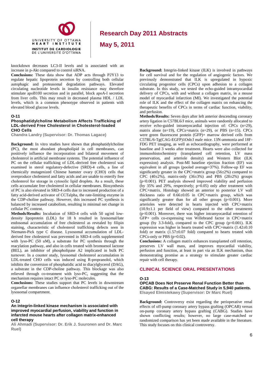

**May 5, 2011**

knockdown decreases LC3-II levels and is associated with an increase in p-Akt compared to control siRNA.

**Conclusions:** These data show that ADP acts through P2Y13 to regulate hepatic lipoprotein secretion by controlling both cellular autophagic and proteasomal degradation pathways. Elevated circulating nucleotide levels in insulin resistance may therefore stimulate apoB100 secretion and in parallel, block apoA-I secretion from liver cells. This may result in decreased plasma HDL / LDL levels, which is a common phenotype observed in patients with elevated blood glucose levels.

#### **O-11**

#### **Phosphatidylcholine Metabolism Affects Trafficking of LDL-derived Free Cholesterol in Cholesterol-loaded CHO Cells**

**Chandra Landry (Supervisor: Dr. Thomas Lagace)**

**Background:** In vitro studies have shown that phosphatidylcholine (PC), the most abundant phospholipid in cell membranes, can positively influence the incorporation and bilateral movement of cholesterol in artificial membrane systems. The potential influence of PC on the cellular trafficking of LDL-derived free cholesterol was examined in sterol regulatory-defective (SRD)-4 cells, a line of chemically mutagenized Chinese hamster ovary (CHO) cells that overproduce cholesterol and fatty acids and are unable to esterify free cholesterol for storage in cytosolic lipid droplets. As a result, these cells accumulate free cholesterol in cellular membranes. Biosynthesis of PC is also elevated in SRD-4 cells due to increased production of a fatty acid-derived activator of CCTalpha, the rate-limiting enzyme in the CDP-choline pathway. However, this increased PC synthesis is balanced by increased catabolism, resulting in minimal net change in cellular PC content.

**Methods/Results:** Incubation of SRD-4 cells with 50 ug/ml lowdensity lipoprotein (LDL) for 18 h resulted in lysosomal/late endosomal accumulation of free cholesterol as revealed by filipin staining, characteristic of cholesterol trafficking defects seen in Niemann-Pick type C disease. Lysosomal accumulation of LDLderived free cholesterol was prevented in SRD-4 cells supplemented with lyso-PC (50 uM), a substrate for PC synthesis through the reacylation pathway, and also in cells treated with bromoenol lactone (BEL), an inhibitor of phospholipase A2 implicated in bulk PC turnover. In a counter study, lysosomal cholesterol accumulation in LDL-treated CHO cells was induced using R-propranolol, which inhibits the conversion of phosphatidic acid to diacylglycerol (DAG), a substrate in the CDP-choline pathway. This blockage was also relieved through co-treatment with lyso-PC, suggesting that the mechanism requires intact PC or lyso-PC molecules.

**Conclusions:** These studies support that PC levels in downstream organellar membranes can influence cholesterol trafficking out of the lysosomal compartment.

#### **O-12**

#### **An integrin-linked kinase mechanism is associated with improved myocardial perfusion, viability and function in infarcted mouse hearts after collagen matrix-enhanced cell therapy**

**Ali Ahmadi (Supervisor: Dr. Erik J. Suuronen and Dr. Marc Ruel)**

**Background:** Integrin-linked kinase (ILK) is involved in pathways for cell survival and for the regulation of angiogenic factors. We previously demonstrated that ILK is upregulated in hypoxic circulating progenitor cells (CPCs) upon adhesion to a collagen substrate. In this study, we tested the echo-guided intramyocardial delivery of CPCs, with and without a collagen matrix, in a mouse model of myocardial infarction (MI). We investigated the potential role of ILK and the effect of the collagen matrix on enhancing the therapeutic benefits of CPCs in terms of cardiac function, viability, and perfusion.

**Methods/Results:** Seven days after left anterior descending coronary artery ligation in C57BL6/J mice, animals were randomly allocated to receive echo-guided intramyocardial injection of: CPCs (n=29), matrix alone  $(n=19)$ , CPCs+matrix  $(n=29)$ , or PBS  $(n=15)$ . CPCs were green fluorescent protein (GFP)+ marrow derived cells from C57BL/6-Tg(CAG-EGFP)1Osb/J male mice. 13N-ammonia and 18F-FDG PET imaging, as well as echocardiography, were performed at baseline and 3 weeks after treatment. Hearts were also collected for immunohistochemistry (transplanted cell retention, LV mass preservation, and arteriole density) and Western Blot (ILK expression) analysis. Post-MI baseline ejection fraction (EF) was equivalent in all groups (pooled average=37%). Follow-up EF was significantly greater in the CPC+matrix group (56±2%) compared to CPC  $(40\pm2\%)$ , matrix-only  $(36\pm3\%)$  and PBS  $(28\pm2\%)$  groups (p<0.001). PET analysis showed improved viability and perfusion (by 35% and 29%, respectively;  $p=0.05$ ) only after treatment with CPC+matrix. Histology showed an anterior to posterior LV wall thickness ratio of  $0.66 \pm 0.05$  in CPC+matrix group, which was significantly greater than for all other groups  $(p<0.001)$ . More arterioles were detected in hearts injected with CPC+matrix  $(10.9\pm1.1)$  per field of view) compared to the other treatments (p<0.001). Moreover, there was higher intramyocardial retention of GFP+ cells co-expressing von Willebrand factor in CPC+matrix group (by  $3.3$ -fold), compared to the CPC group ( $p=0.001$ ). ILK expression was higher in hearts treated with CPC+matrix (1.42±0.10 fold) or matrix  $(1.57 \pm 0.07)$  fold) compared to hearts treated with CPCs-only or PBS (p=0.02).

**Conclusions:** A collagen matrix enhances transplanted cell retention, preserves LV wall mass, and improves myocardial viability, perfusion and function, at least in part via an ILK mechanism, thus demonstrating promise as a strategy to stimulate greater cardiac repair with cell therapy.

### **CLINICAL SCIENCE ORAL PRESENTATIONS**

#### **O-13 OPCAB Does Not Preserve Renal Function Better than CABG: Results of a Case-Matched Study in 5,940 patients. Elsayed Elmistekawy (Supervisor: Dr Marc Ruel)**

**Background:** Controversy exist regarding the perioperative renal effects of off-pump coronary artery bypass grafting (OPCAB) versus on-pump coronary artery bypass grafting (CABG). Studies have shown conflicting results; however, no large case-matched or randomized comparison has yet been made available in the literature. This study focuses on this clinical controversy.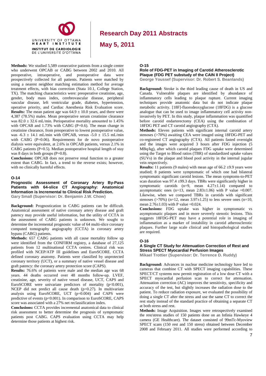

**May 5, 2011**

**Methods:** We studied 5,589 consecutive patients from a single center who underwent OPCAB or CABG between 2002 and 2010. All preoperative, intraoperative, and postoperative data were prospectively collected for all patients. Patients were matched by using a nearest neighbor matching estimation method for average treatment effects, with bias correction (Stata 10.1, College Station, TX). The matching characteristics were: preoperative creatinine, age, gender, body mass index, cerebrovascular disease, peripheral vascular disease, left ventricular grade, diabetes, hypertension, operative priority, and Cardiac Anesthesia Risk Evaluation score. **Results:** The mean patient age was  $64.9 \pm 10.0$  years, and there were 4,387 (78.5%) males. Mean preoperative serum creatinine clearance was  $82.0 \pm 32.6$  mL/min. Perioperative mortality amounted to 1.45% with OPCAB and 1.73% with CABG (P=0.6). The mean change in creatinine clearance, from preoperative to lowest postoperative value, was  $-6.3 \pm 14.1$  mL/min with OPCAB, versus  $-5.0 \pm 15.5$  mL/min with CABG (P=0.06). Requirements for de novo postoperative dialysis were equivalent, at 2.6% in OPCAB patients, versus 2.1% in CABG patients (P=0.5). Median postoperative hospital length of stay was 8 days in both groups  $(P=0.8)$ .

**INSTITUT DE CARDIOLOGIE** DE L'UNIVERSITÉ D'OTTAWA

**Conclusions:** OPCAB does not preserve renal function to a greater extent than CABG. In fact, a trend to the reverse exists; however, with no clinically harmful effects.

#### **O-14**

**Prognostic Assessment of Coronary Artery By-Pass Patients with 64-slice CT Angiography: Anatomical Information is Incremental to Clinical Risk Prediction. Gary Small (Supervisor: Dr. Benjamin J.W. Chow)**

**Background:** Prognostication in CABG patients can be difficult. Anatomical assessment of native coronary artery disease and graft patency may provide useful information, but the utility of CCTA in the assessment of CABG patients is unknown. We sought to determine the incremental prognostic value of 64 multi-slice coronary computed tomography angiography (CCTA) in coronary artery bypass (CABG) patients.

**Methods:** 657 CABG patients with all cause mortality follow up were identified from the CONFIRM registry, a database of 27,125 patients from 12 multinational CCTA centres. Clinical risk was profiled with NCEP/ATP III guidelines and EuroSCORE. CCTA defined coronary anatomy. Patients were classified by unprotected coronary territory (UCT), or a summary of native vessel disease and graft patency: the coronary artery protection score (CAPS).

**Results:** 76.6% of patients were male and the median age was 68 years. 44 deaths occurred over 48 months follow-up. LVEF, creatinine, age, severity of native vessel disease, UCT, CAPS and EuroSCORE were univariate predictors of mortality (p<0.001), NCEP did not predict all cause death (p=0.27). In multivariate analysis using EuroSCORE, UCT  $(p=0.004)$  and CAPS were predictive of events (p<0.001). In comparison to EuroSCORE, CAPS score was associated with a 27% net reclassification index.

**Conclusions:** CCTA provides incremental anatomical data to clinical risk assessment to better determine the prognosis of symptomatic patients post CABG. CAPS evaluation using CCTA may help determine those patients at highest risk.

### **O-15**

**Role of FDG-PET in Imaging of Carotid Atherosclerotic Plaque (FDG PET substudy of the CAIN II Project) George Youssef (Supervisor: Dr. Robert S. Beanlands)**

**Background:** Stroke is the third leading cause of death in US and Canada. Vulnerable plaques are identified by abundance of inflammatory cells leading to plaque rupture. Current imaging techniques provide anatomic data but do not indicate plaque metabolic activity. [18F]-fluorodeoxyglucose (18FDG) is a glucose analogue that can be used to image inflammatory cell activity noninvasively by PET. In this study, plaque inflammation was quantified before carotid endarterectomy (CEA) using the combination of 18FDG PET and CT carotid angiography (CTA).

**Methods:** Eleven patients with significant internal carotid artery stenoses (>70%) awaiting CEA were imaged using 18FDG-PET and co-registered CT angiography (CTA). All patients fasted overnight and the images were acquired 3 hours after FDG injection (5 MBq/kg), after which carotid plaques FDG uptake were determined using the Target to Blood ratios (TBR) of standardized uptake values (SUVs) in the plaque and blood pool activity in the internal jugular vein respectively.

**Results:** 11 patients (9 males) with mean age of 66.2  $\pm$ 9.9 years were studied; 8 patients were symptomatic of which one had bilateral symptomatic significant carotid lesions. The mean symptoms-to-PET scan duration was 97.4 ±99.3 days. TBRs were significantly higher in symptomatic carotids  $(n=9, \text{mean } 4.27 \pm 1.14)$  compared to asymptomatic ones (n=13, mean  $2.83\pm1.06$ ) with P value =0.007. Likewise, when we compared TBRs in carotids with significant stenoses (>70%) (n=12, mean  $3.97\pm1.25$ ) to less severe ones (n=10, mean  $2.76 \pm 1.03$ ) with P value =0.024.

**Conclusions:** FDG uptake was higher in symptomatic vs asymptomatic plaques and in more severely stenotic lesions. This suggests 18FDG-PET may have a potential role in imaging of inflammation as a marker of instability in carotid atherosclerotic plaques. Further large scale clinical and histopathological studies are required.

#### **O-16**

#### **A Single CT Study for Attenuation Correction of Rest and Stress SPECT Myocardial Perfusion Images**

**Mikael Trottier (Supervisor: Dr. Terrence D. Ruddy)**

**Background:** Advances in nuclear medicine technology have led to cameras that combine CT with SPECT imaging capabilities. These SPECT/CT systems now permit registration of a low dose CT with a SPECT myocardial perfusion scan to correct for attenuation. Attenuation correction (AC) improves the sensitivity, specificity and accuracy of the test, but slightly increases the radiation dose to the patient. To reduce radiation exposure, we evaluated the possibility of doing a single CT after the stress and use the same CT to correct the rest study instead of the standard practice of obtaining a separate CT at both stress and rest.

**Methods:** Image Acquisition. Images were retrospectively examined the rest/stress studies of 150 patients done on an Infinia Hawkeye 4 camera (GE Healthcare). The dataset consisted of 99mTc-Myoview SPECT scans (150 rest and 150 stress) obtained between December 2008 and February 2011. All studies were performed according to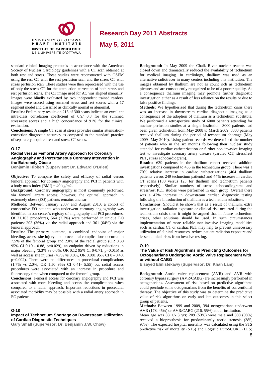UNIVERSITY OF OTTAWA<br>HEART INSTITUTE **INSTITUT DE CARDIOLOGIE** DE L'UNIVERSITÉ D'OTTAWA

**May 5, 2011**

standard clinical imaging protocols in accordance with the American Society of Nuclear Cardiology guidelines with a CT scan obtained at both rest and stress. These studies were reconstructed with OSEM using the rest CT with the rest perfusion scan and the stress CT with stress perfusion scan. These studies were then reprocessed with the use of only the stress CT for the attenuation correction of both stress and rest perfusion scans. The CT image used for AC was aligned manually. Images were blindly evaluated by two independent trained readers. Images were scored using summed stress and rest scores with a 17 segment model and classified as clinically normal or abnormal.

**Results:** Preliminary results on 215 of 300 scans indicate an excellent intra-class correlation coefficient of 0.9/ 0.8 for the summed stress/rest scores and a high concordance of 91% for the clinical evaluation.

**Conclusions:** A single CT scan at stress provides similar attenuationcorrection diagnostic accuracy as compared to the standard practice of separately acquired rest and stress CT scans.

#### **O-17**

#### **Radial versus Femoral Artery Approach for Coronary Angiography and Percutaneous Coronary Intervention in the Extremely Obese**

**Benjamin Hibbert (Supervisor: Dr. Edward O'Brien)**

**Objective:** To compare the safety and efficacy of radial versus femoral approach for coronary angiography and PCI in patients with a body mass index  $(BMI) = 40 \text{ kg/m2}$ .

**Background:** Coronary angiography is most commonly performed via femoral artery access; however, the optimal approach in extremely obese (EO) patients remains unclear.

**Methods:** Between January 2007 and August 2010, a cohort of consecutive EO patients who underwent coronary angiography was identified in our center's registry of angiography and PCI procedures. Of 21,103 procedures, 564 (2.7%) were performed in unique EO patients: 203 (36%) via the radial approach and 361 (64%) via the femoral approach.

**Results:** The primary outcome, a combined endpoint of major bleeding, access site injury, and procedural complications occurred in 7.5% of the femoral group and 2.0% of the radial group (OR 0.30 95% CI 0.10 - 0.88,  $p=0.029$ ), an endpoint driven by reductions in major bleeding (3.3% vs 0.0%, OR 0.12 95% CI 0-0.71, p=0.015) as well as access site injuries (4.7% vs 0.0%, OR 0.081 95% CI 0 - 0.48, p=0.002). There were no differences in procedural complications (1.7% vs 2.0%, OR 1.50 95% CI 0.41- 5.55) but radial access procedures were associated with an increase in procedure and fluoroscopy time when compared to the femoral group.

**Conclusions:** Femoral access for coronary angiography and PCI was associated with more bleeding and access site complications when compared to a radial approach. Important reductions in procedural associated morbidity may be possible with a radial artery approach in EO patients.

#### **O-18**

### **Impact of Technetium Shortage on Downstream Utilization of Cardiac Diagnostic Techniques**

**Gary Small (Supervisor: Dr. Benjamin J.W. Chow)** 

**Background:** In May 2009 the Chalk River nuclear reactor was closed down and dramatically reduced the availability of technetium for medical imaging. In cardiology, thallium was used as an alternative radiotracer in many centers including this institution. The images obtained by thallium are not as count rich as technetium pictures and are consequently recognized to be of a poorer quality. As a consequence thallium imaging may promote further diagnostic investigation either as a result of less reliance on the results or due to false positive findings.

**Methods:** We hypothesized that during the technetium crisis there was an increase in downstream cardiac diagnostic imaging as a consequence of the adoption of thallium as a technetium substitute. We performed a retrospective study of 6000 patients attending for nuclear perfusion studies at a single institution. 3000 patients had been given technetium from May 2008 to March 2009. 3000 patients received thallium during the period of technetium shortage (May 2009- May 2010). Using patient records we determined the number of patients who in the six months following their nuclear study attended for cardiac catheterization or further non invasive imaging test to investigate coronary artery disease (cardiac CT, stress/rest PET, stress echocardiogram).

**Results:** 639 patients in the thallium cohort received addition investigations compared to 436 in the technetium group. There was a 70% relative increase in cardiac catheterizations (404 thallium patients versus 249 technetium patients) and 44% increase in cardiac CT scans (180 versus 125 for thallium and technetium patients respectively). Similar numbers of stress echocardiograms and stress/rest PET studies were performed in each group. Overall there was a 47% increase in downstream cardiac diagnostic testing following the introduction of thallium as a technetium substitute.

**Conclusions**: Should it be shown that as a result of thallium, extra investigation, radiation exposure or clinical risk occurred during the technetium crisis then it might be argued that in future technetium crises, other solutions should be used. In such circumstances implementation of more reliable non-invasive imaging modalities such as cardiac CT or cardiac PET may help to prevent unnecessary utilization of clinical resources, reduce patient radiation exposure and lessen clinical risks from invasive testing.

#### **O-19**

#### **The Value of Risk Algorithms in Predicting Outcomes for Octogenarians Undergoing Aortic Valve Replacement with or without CABG**

**Elsayed Elmistekawy (Supervisor: Dr. Khan Lam)**

**Background:** Aortic valve replacement (AVR) and AVR with coronary bypass surgery (AVR/CABG) are increasingly performed in octogenarians. Assessment of risk based on predictive algorithms could preclude some octogenarians from the benefits of conventional therapy. The objective of this study was to determine the predictive value of risk algorithms on early and late outcomes in this select group of patients.

**Methods:** Between 1999 and 2009, 394 octogenarians underwent AVR (178, 45%) or AVR/CABG (216, 55%) at our institution.

Mean age was 83 +/- 3 yrs; 209 (53%) were male and 388 (98%) received a bioprosthesis for predominantly aortic stenosis (385, 97%). The expected hospital mortality was calculated using the STS predictive risk of mortality (STS) and Logistic EuroSCORE (LES)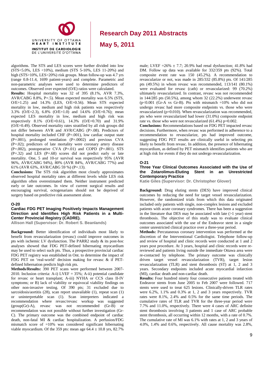

**May 5, 2011**

algorithms. The STS and LES scores were further divided into low (STS<5.0%, LES <10%), medium (STS 5-10%, LES 11-20%) and high (STS>10%, LES>20%) risk groups. Mean follow-up was 4.7 yrs (range 0.8-11.4, 1699 patient-years) and complete. Parametric and non-parametric analyses were used to determine predictors of outcomes. Observed over expected (O/E) ratios were calculated. **Results:** Hospital mortality was 32 of 395 (8.1%, AVR 7.3%, AVR/CABG 8.8%, P=.5). Mean expected mortality was 6.5% (STS, O/E=1.25) and 14.3% (LES, O/E=0.56). Mean STS expected mortality in low, medium and high risk patients was respectively 3.3% (O/E=2.3), 6.8% (O/E=1.0) and 14.6% (O/E=0.76); mean expected LES mortality in low, medium and high risk was respectively 8.1% (O/E=0.61), 14.3% (O/E=0.70) and 31.9% (O/E=0.49). Observed mortality rates stratified by all risk groups did not differ between AVR and AVR/CABG (P>.08). Predictors of hospital mortality included CHF  $(P=.001)$ , low cardiac output state  $(P=001)$ , prolonged ventilation  $(P=0002)$  and previous CVA (P=.02); predictors of late mortality were coronary artery disease  $(P=.002)$ , postoperative CVA  $(P=.01)$  and COPD  $(P=.001)$ . STS (P=.32) and LES (P=.68) scores did not predict early or late mortality. One, 5 and 10-yr survival was respectively 95% (AVR 96%, AVR/CABG 94%), 80% (AVR 84%, AVR/CABG 77%) and

61% (AVR 63%, AVR/CABG 59 %) (P=.13). **Conclusions:** The STS risk algorithm most closely approximates observed hospital mortality rates at different levels while LES risk algorithm often overestimated them. Neither instrument predicted early or late outcomes. In view of current surgical results and encouraging survival, octogenarians should not be deprived of surgery based on predictive risk assessment alone.

#### **O-20**

### **Cardiac FDG PET Imaging Positively Impacts Management Direction and Identifies High Risk Patients in a Multi-Center Provincial Registry (CADRE).**

**Allison Hall (Supervisor: Dr. Robert S. Beanlands)**

**Background:** Better identification of individuals most likely to benefit from revascularization (revasc) could improve outcomes in pts with ischemic LV dysfunction. The PARR2 study & its post-hoc analyses showed that FDG PET-defined hibernating myocardium may be used to select such pts. Thus, a prospective provincial cardiac FDG PET registry was established in Ont. to determine the impact of FDG PET on 'real-world' decision making for revasc & if PETdefined hibernation predicts high risk pts.

**Methods/Results:** 390 PET scans were performed between 2007- 2010. Inclusion criteria: A-i) LVEF =  $35\%$ ; A-ii) potential candidate for revasc or heart transplant; A-iii) NYHA or CCS class II-IV symptoms; or B) lack of viability or equivocal viability findings on other non-invasive testing. Of 390 pts; 31 excluded due to sarcoidosis/aortitis (28), scan report unavailable (1), repeat scan (1) or uninterpretable scan (1). Scan interpreters indicated a recommendation where revasc/revasc workup was suggested (group(Gr)-A), revasc was not recommended (Gr-B) or recommendation was not possible without further investigation (Gr-C). The primary outcome was the combined endpoint of cardiac death, non-fatal MI & cardiac hospitalization. A perfusion/FDG mismatch score of =10% was considered significant hibernating viable myocardium. Of the 359 pts: mean age  $64.4 \pm 10.8$  yrs, 82.7%

male; LVEF =  $26\% \pm 7.7$ ; 20.9% had renal dysfunction; 41.8% had DM. Follow up data was available for 332/359 pts (92%). Total composite event rate was 150 (45.2%). A recommendation to revascularize or not, was made in 285/332 (85.8%) pts. Of 141/285 pts (49.5%) in whom revasc was recommended, 113/141 (80.1%) were evaluated for revasc (cath) or revascularized: 99 (70.2%) ultimately revascularized. In contrast, revasc was not recommended in 144/285 pts (50.5%), among whom 32 (22.2%) underwent revasc  $(p<0.001$  (Gr-A vs Gr-B). Pts with mismatch =10% who did not undergo revasc had more composite endpoints vs. those who were revascularized (p=0.010). When revascularization was recommended, pts who were revascularized had lower (31.0%) composite endpoint rate vs. those who were not revascularized (61.4%) p=0.002.

**Conclusions:** Recommendations based on FDG PET impacted revasc decisions. Furthermore, when revasc was performed in adherence to a recommendation to revascularize, pts had improved outcome, suggesting FDG PET results are clinically useful in selecting pts likely to benefit from revasc. In addition, the presence of hibernating myocardium, as defined by PET mismatch identifies patients who are at high risk for events if they do not undergo revascularization.

#### **O-21**

#### **Three Year Clinical Outcomes Associated with the Use of the Zotarolimus-Eluting Stent in an Unrestricted Contemporary Practice**

**Katie Giles (Supervisor: Dr. Christopher Glover)**

**Background:** Drug eluting stents (DES) have improved clinical outcomes by reducing the need for target vessel revascularization. However, the randomized trials from which this data originated included only patients with single, non-complex lesions and excluded patients with acute coronary syndromes. There has been a suggestion in the literature that DES may be associated with late  $(>1$  year) stent thrombosis. The objective of this study was to evaluate clinical outcomes associated with the use of the Endeavor stent in a single center unrestricted clinical practice over a three-year period.

**Methods:** Percutaneous coronary intervention was performed at the discretion of the Interventional Cardiologist. Telephone follow-up and review of hospital and clinic records were conducted at 1 and 2 years post procedure. At 3 years, hospital and clinic records were rereviewed and patients living outside the immediate Ottawa area were re-contacted by telephone. The primary outcome was clinically driven target vessel revascularization (TVR), target lesion revascularization (TLR) and stent thrombosis (ST) at 1, 2 and 3 years. Secondary endpoints included acute myocardial infarction (MI), cardiac death and non-cardiac death.

**Results:** Four hundred ninety four consecutive patients treated with Endeavor stents from June 2005 to Feb 2007 were followed. 717 stents were used to treat 625 lesions. Clinically-driven TLR rates were 6.2%, 1.1% and 0.3% at 1, 2 and 3 years respectively. TVR rates were 8.1%, 2.4% and 0.5% for the same time periods. The cumulative rates of TLR and TVR for the three-year period were 7.7% and 11.0%, respectively. There were 4 cases of ARC definite stent thrombosis involving 3 patients and 1 case of ARC probable stent thrombosis, all occurring within 12 months, with a rate of 0.7%. The cumulative rate of MI was 6.1% with rates at 1, 2 and 3 years of 4.0%, 1.4% and 0.6%, respectively. All cause mortality was 2.8%,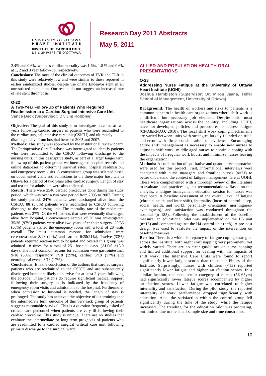

**May 5, 2011**

2.4% and 0.6%, whereas cardiac mortality was 1.6%, 1.8 % and 0.6% at 1, 2 and 3 year follow-up, respectively.

**Conclusions:** The rates of the clinical outcomes of TVR and TLR in this study were relatively low and were similar to those reported in earlier randomized studies, despite use of the Endeavor stent in an unrestricted population. Our results do not suggest an increased rate of late stent thrombosis.

#### **O-22**

# **A Two-Year Follow-Up of Patients Who Required Readmission to a Cardiac Surgical Intensive Care Unit**

**Vance Beck (Supervisor: Dr. Jim Robblee)**

**Objective:** The goal of this study is to investigate outcome at two years following cardiac surgery in patients who were readmitted to the cardiac surgical intensive care unit (CSICU) and ultimately discharged alive from hospital between 2005 and 2007.

**Methods:** This study was approved by the institutional review board. The Perioperative Care Database was interrogated to identify patients who were readmitted to the CSICU following discharge to the nursing units. In this descriptive study, as part of a larger longer term follow up of this patient group, we interrogated hospital records and online databases to determine survival rates, hospital readmission, and emergency room visits. A convenience group was selected based on documented visits and admissions to the three major hospitals in Ottawa for a period of two years after cardiac surgery. Length of stay and reason for admission were also collected.

**Results:** There were 2546 cardiac procedures done during the study period, which was over a two year period from 2005 to 2007. During the study period, 2476 patients were discharged alive from the CSICU. 88 (3.6%) patients were readmitted to CSICU following discharge to the nursing unit. The mortality rate of the readmitted patients was 27%. Of the 64 patients that were eventually discharged alive from hospital, a convenience sample of 36 was investigated. 35/36 (97%) patients were alive two years after their surgery. 20/36 (56%) patients visited the emergency room with a total of 28 visits overall. The most common reasons for admission were cerebrovascular 8/28 (29%) and cardiac 6/28(21%). Twelve (33%) patients required readmission to hospital and overall this group was admitted 18 times for a total of  $251$  hospital days. (ALOS =13.9) days). The most common reasons for admission were gastrointestinal 9/18 (50%), respiratory 7/18 (39%), cardiac 3/18 (17%) and neurological events 3/18 (17%).

**Conclusions:** It is the conclusion of the authors that cardiac surgery patients who are readmitted to the CSICU and are subsequently discharged home are likely to survive for at least 2 years following the episode. These patients do require significant medical support following their surgery as is indicated by the frequency of emergency room visits and admissions to the hospital. Furthermore, when admission to hospital is needed, the length of stay is prolonged. The study has achieved the objective of determining that the intermediate term outcome of this very sick group of patients suggests reasonable survival. This is a question frequently asked of critical care personnel when patients are very ill following their cardiac procedure. This study is unique. There are no studies that evaluate the intermediate or long-term prognosis of patients who are readmitted to a cardiac surgical critical care unit following primary discharge to the surgical ward.

## **ALLIED AND POPULATION HEALTH ORAL PRESENTATIONS**

#### **O-23**

#### **Addressing Nurse Fatigue at the University of Ottawa Heart Institute (UOHI)**

**Joshua Hambleton (Supervisor: Dr. Mirou Jaana, Telfer School of Management, University of Ottawa)**

**Background:** The health of workers and risks to patients is a common concern in health care organizations where shift work is a difficult but necessary job element. Despite this, most healthcare organizations across the country, including UOHI, have not developed policies and procedures to address fatigue (CNA&RNAO, 2010). The local shift work coping mechanisms are varied between units with strategies largely founded on trialand-error with little consideration of evidence. Encouraging active shift management is necessary to enable new nurses to adjust to shift work, middle aged nurses to continue coping with the impacts of irregular work hours, and minimize nurses leaving the organization.

**Methods:** A combination of qualitative and quantitative approaches were used for this project. First, informational interviews were conducted with nurse managers and frontline nurses (n=21) to better understand the context of fatigue management here at UOHI. These were complemented with a thorough review of the literature to evaluate local practices against recommendations. Based on this analysis, a fatigue management education session for nurses was developed. A baseline assessment of the overall level of fatigue (chronic, acute, and inter-shift), internality (locus of control: sleep, social, health, and work), personality orientation (morningnesseveningness), and satisfaction was conducted throughout the hospital (n=185). Following the establishment of the baseline measure, an educational pilot was implemented on the H5 unit  $(n=16)$  and compared against the H4 control unit  $(n=8)$ . A pre-post design was used to evaluate the impact of the intervention on baseline measures.

**Results:** There is a wide discrepancy of fatigue coping strategies across the Institute, with night shift napping very prominent, yet widely varied. There are no clear guidelines on nurse napping and limited additional support for dealing with the impacts of shift work. The Intensive Care Units were found to report significantly lower fatigue scores than the upper Floors of the Institute. Surprisingly, nurses with children (<13) reported significantly lower fatigue and higher satisfaction scores. In a similar fashion, the most senior category of nurses (56-65yrs) had significantly lower fatigue scores accompanied by higher satisfaction scores. Lower fatigue was correlated to higher internality and satisfaction. During the pilot study, the reported internality of work performance dropped significantly with education. Also, the satisfaction within the control group fell significantly during the time of the study, while the fatigue increased. The trending for the education pilot was promising, but limited due to the small sample size and time constraints.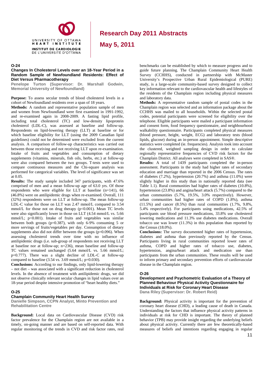

**May 5, 2011**

### **O-24**

#### **Changes In Cholesterol Levels over an 18-Year Period in a Random Sample of Newfoundland Residents: Effect of Diet Versus Pharmacotherapy**

**Penelope Turton (Supervisor: Dr. Marshall Godwin, Memorial University of Newfoundland)**

Purpose: To assess secular trends of blood cholesterol levels in a cohort of Newfoundland residents over a span of 18 years.

**Methods:** A random and representative population sample of men and women from Newfoundland were first examined in 1991-1992, and re-examined again in 2008-2009. A fasting lipid profile, including total cholesterol (TC) and low-density lipoprotein cholesterol (LDL-C), was assessed at baseline and follow-up. Respondents on lipid-lowering therapy (LLT) at baseline or for which baseline eligibility for LLT (using the 2009 Canadian lipid guidelines) could not be determined were excluded from the current analysis. A comparison of follow-up characteristics was carried out between those receiving and not receiving LLT upon re-examination. Intake of fruits and vegetables and consumption of dietary supplements (vitamins, minerals, fish oils, herbs, etc.) at follow-up were also compared between the two groups. T-tests were used to compare continuous measures and the Chi-square analysis was performed for categorical variables. The level of significance was set at 0.05.

**Results:** The study sample included 347 participants, with 47.6% comprised of men and a mean follow-up age of 63.0 yrs. Of those respondents who were eligible for LLT at baseline (n=141), 66 (46.8%) were on antilipidemic drugs when re-examined. Overall, 111 (32%) respondents were on LLT at follow-up. The mean follow-up LDL-C value for those on LLT was 2.47 mmol/L compared to 3.54 mmol/L for those not on drug therapy (p<0.001). Mean TC levels were also significantly lower in those on LLT (4.54 mmol/L vs. 5.66 mmol/L; p<0.001). Intake of fruits and vegetables was similar between both groups (p=0.387), with only 6-9% consuming 5 or more servings of fruits/vegetables per day. Consumption of dietary supplements also did not differ between the groups ( $p=0.096$ ). When assessing cholesterol trends over time with no influence of antilipidemic drugs (i.e. sub-group of respondents not receiving LLT at baseline nor at follow-up; n=236), mean baseline and follow-up TC values remained unchanged (5.64 mmol/L vs. 5.66 mmol/L; p=0.777). There was a slight decline of LDL-C at follow-up compared to baseline  $(3.54 \text{ vs. } 3.69 \text{ mmol/L}; \text{p=0.030}).$ 

**Conclusions:** According to our findings, only lipid-lowering therapy – not diet – was associated with a significant reduction in cholesterol levels. In the absence of treatment with antilipidemic drugs, we did not observe clinically relevant secular changes in lipid values over an 18-year period despite intensive promotion of "heart healthy diets."

#### **O-25**

#### **Champlain Community Heart Health Survey**

**Danielle Simpson, CCPN Analyst, Minto Prevention and Rehabilitation Centre**

**Background:** Local data on Cardiovascular Disease (CVD) risk factor prevalence for the Champlain region are not available in a timely, on-going manner and are based on self-reported data. With regular monitoring of the trends in CVD and risk factor rates, real benchmarks can be established by which to measure progress and to guide future planning. The Champlain Community Heart Health Survey (CCHHS), conducted in partnership with McMaster University's Prospective Urban Rural Epidemiological (PURE) study, is a large-scale community-based survey designed to collect key information relevant to the cardiovascular health and lifestyles of the residents of the Champlain region including physical measures and laboratory data.

**Methods:** A representative random sample of postal codes in the Champlain region was selected and an information package about the CCHHS was mailed to all households. Within the selected postal codes, potential participants were screened for eligibility over the telephone. Eligible participants were mailed a participant information and consent form, food frequency questionnaire, and neighbourhood walkability questionnaire. Participants completed physical measures (blood pressure, height, weight, ECG) and laboratory tests (blood lipids, glucose) during an in-person appointment. Simple descriptive statistics were completed (ie. frequencies). Analysis took into account the clustered, weighted sampling design in order to calculate regionally representative frequencies of CVD risk factors for the Champlain District. All analyses were completed in SAS®.

**Results:** A total of 1439 participants completed the in-person assessment. Participants in the study had higher rates of secondary education and marriage than reported in the 2006 Census. The rates of diabetes (7.2%), hypertension (20.7%) and asthma (11.0%) were slightly higher in this study than in nationally reported data (see Table 1.1). Rural communities had higher rates of diabetes (10.8%), hypertension (23.8%) and angina/heart attack (5.7%) compared to the urban communities (5.7%, 19.5%, 3.0% respectively). However, urban communities had higher rates of COPD (1.8%), asthma  $(11.5\%)$  and cancer  $(8.5\%)$  than rural communities  $(1.7\%$ , 9.8%, 5.4% respectively). For participants using medications, 42.5% of participants use blood pressure medications, 33.8% use cholesterol lowering medications and 11.3% use diabetes medications. Overall tobacco use was lower (11.3%) in this population than reported by the Census (18.0%).

**Conclusions:** The survey documented higher rates of hypertension, diabetes and asthma than previously reported by the Census. Participants living in rural communities reported lower rates of asthma, COPD and higher rates of tobacco use, diabetes, hypertension, angina/heart attack and medication use than participants from the urban communities. These results will be used to inform primary and secondary prevention efforts of cardiovascular disease in the Champlain region.

#### **O-26**

#### **Development and Psychometric Evaluation of a Theory of Planned Behaviour Physical Activity Questionnaire for Individuals at Risk for Coronary Heart Disease Dana Riley (Supervisor: Dr. Robert Reid)**

**Background:** Physical activity is important for the prevention of coronary heart disease (CHD), a leading cause of death in Canada. Understanding the factors that influence physical activity patterns in individuals at risk for CHD is important. The theory of planned behavior (TPB) may provide insight regarding the underlying beliefs about physical activity. Currently there are few theoretically-based measures of beliefs and intentions regarding engaging in regular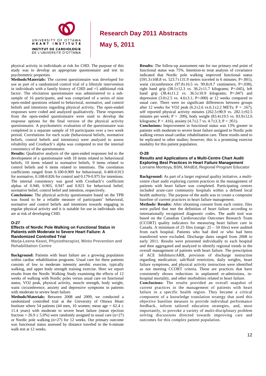

**May 5, 2011**

physical activity in individuals at risk for CHD. The purpose of this study was to develop an appropriate questionnaire and test its psychometric properties.

**Methods/Materials:** The current questionnaire was developed for use as part of a randomized control trial of a lifestyle intervention in individuals with a family history of CHD and  $=1$  additional risk factor. The elicitation questionnaire was administered to a subsample of 16 participants, and was comprised of a series of nine open-ended questions related to behavioral, normative, and control beliefs and intentions regarding physical activity. The open-ended responses were coded and analyzed qualitatively. These responses from the open-ended questionnaire were used to develop the response options for the final version of the physical activity questionnaire. A psychometric evaluation of the questionnaire was completed in a separate sample of 10 participants over a two week period. Correlations for each scale (behavioural beliefs, normative beliefs, control beliefs and intentions) were analyzed to assess reliability and Cronbach's alpha was computed to test the internal consistency of the questionnaire.

**Results:** Qualitative analysis of the open-ended responses led to the development of a questionnaire with 18 items related to behavioural beliefs, 10 items related to normative beliefs, 9 items related to control beliefs and 6 items related to intentions. The correlation coefficients ranged from 0.100-0.909 for behavioural, 0.469-0.913 for normative, 0.108-0.826 for control and 0.179-0.975 for intentions. The internal consistency was good with Cronbach's coefficient alphas of 0.940, 0.903, 0.947 and 0.923 for behavioral belief, normative belief, control belief and intention, respectively.

**Conclusions:** The physical activity questionnaire based on the TPB was found to be a reliable measure of participants' behavioral, normative and control beliefs and intentions towards engaging in regular physical activity and it is suitable for use in individuals who are at risk of developing CHD.

### **O-27**

#### **Effects of Nordic Pole Walking on Functional Status in Patients with Moderate to Severe Heart Failure: A Randomized Controlled Trial**

**Marja-Leena Keast, Physiotherapist, Minto Prevention and Rehabilitation Centre**

**Background:** Patients with heart failure are a growing population within cardiac rehabilitation programs. Usual care for these patients consists of low to moderate intensity aerobic exercise, typically walking, and upper body strength training exercise. Here we report results from the Nordic Walking Study examining the effects of 12 weeks of walking with Nordic poles versus usual care on functional status, VO2 peak, physical activity, muscle strength, body weight, waist circumference, anxiety and depressive symptoms in patients with moderate to severe heart failure.

**Methods/Materials:** Between 2008 and 2009, we conducted a randomized controlled trial at the University of Ottawa Heart Institute where 54 patients (44 men, 10 women; mean age =  $62.4 \pm$ 11.4 years) with moderate to severe heart failure (mean ejection fraction =  $26.9 \pm 5.0\%$ ) were randomly assigned to usual care (n=27) or Nordic pole walking (n=27) for 12 weeks. Our primary outcome was functional status assessed by distance traveled in the 6-minute walk test at 12 weeks.

**Results:** The follow-up assessment rate for our primary end point of functional status was 75%. Intention-to treat analysis of covariance indicated that Nordic pole walking improved functional status  $(591.3 \pm 168.8 \text{ vs. } 523.7 \pm 131.9 \text{ meters traveled in } 6 \text{ minutes: } P = .001).$ waist circumference  $(97.8 \pm 16.5 \text{ vs. } 99.8 \pm 9.7 \text{ centimeters}; P = .038)$ . right hand grip  $(38.1 \pm 12.3 \text{ vs. } 36.2 \pm 11.7 \text{ kilograms}; \text{P} = .045)$ , left hand grip  $(38.4 \pm 11.2 \text{ vs. } 36.5 \pm 10.9 \text{ kilograms}; P = .047)$  and depression  $(3.0\pm 2.5 \text{ vs. } 4.6\pm 3.1; \text{ P} = .000)$  at 12 weeks compared to usual care. There were no significant differences between groups after 12 weeks for VO2 peak  $(6.2 \pm 2.6 \text{ vs. } 6.1 \pm 2.2 \text{ METs}; P = .167)$ , self reported physical activity minutes  $(262.5\pm90.9 \text{ vs. } 282.1\pm92.5$ minutes per week; P = .399), body weight  $(83.4 \pm 19.5 \text{ vs. } 83.9 \pm 12.6 \text{ s})$ kilograms; P = .416), anxiety  $(4.7 \pm 2.7 \text{ vs. } 4.7 \pm 3.3; P = .951)$ .

**Conclusions:** Improvement in functional status was 13% greater in patients with moderate to severe heart failure assigned to Nordic pole walking versus usual cardiac rehabilitation care. These results need to be replicated in other studies; however, this is a promising exercise modality for this patient population.

#### **O-28**

#### **Results and Applications of a Multi-Centre Chart Audit Exploring Best Practices in Heart Failure Management Lorraine Montoya, BSN, MAdEd, Regional Program Educator**

**Background:** As part of a larger regional quality initiative, a multicentre chart audit exploring current practices in the management of patients with heart failure was completed. Participating centres included acute-care community hospitals within a defined local health authority. The purpose of the audit was to create a composite baseline of current practices in heart failure management.

**Methods/ Results:** After obtaining consent from each centre, files were pulled that met the definition of heart failure according to internationally recognized diagnostic codes. The audit tool was based on the Canadian Cardiovascular Outcomes Research Team (CCORT) quality indicators for measuring heart failure care in Canada. A minimum of 25 files (range:  $25 - 50$  files) were audited from each hospital. Patients who had died or who had been transferred were excluded. Discharge dates ranged from 2008 to early 2011. Results were presented individually to each hospital and then aggregated and analyzed to identify regional trends in the overall management of patients with heart failure. The prescription of ACE Inhibitors/ARB, provision of discharge instruction regarding medication; salt/fluid restriction, daily weights, heart failure symptoms, and physical activity instruction were identified as not meeting CCORT criteria. These are practices that have consistently shown reductions in unplanned re-admissions, inhospital mortality, and other morbidities related to heart failure.

**Conclusions:** The results provided an overall snapshot of current practices in the management of patients with heart failure in a specific health region. They became a critical component of a knowledge translation strategy that used this objective baseline measure to provide individual performance feedback, inform tailored education strategies, and, most importantly, to provoke a variety of multi-disciplinary problem solving discussions directed towards improving care and outcomes for this complex patient population.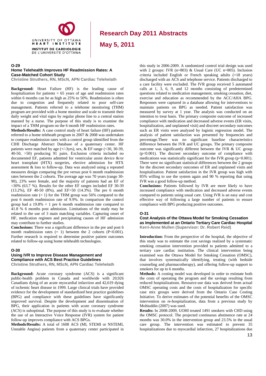

**May 5, 2011**

### **O-29**

### **Home Telehealth Improves HF Readmission Rates: A Case-Matched Cohort Study**

**Christine Struthers, RN, MScN, APN Cardiac Telehelath** 

**Background:** Heart Failure (HF) is the leading cause of hospitalization for patients  $= 65$  years of age and readmission rates within 6 months can be as high as 25% to 50%. Readmission is often due to congestion and frequently related to poor self-care management. Patients referred to a telehome monitoring (THM) program are provided with a home monitor and scale to transmit their daily weight and vital signs by regular phone line to a central station manned by a nurse. The purpose of this study is to examine the impact of a THM program on the 6 month HF readmission rates.

**Methods/Results:** A case control study of heart failure (HF) patients referred to a home teleheath program in 2007 & 2008 was undertaken to compare readmission rates with a control group identified from the CIHI Discharge Abstract Database of a quaternary center. HF patients were matched by age (+/-3yrs), sex, & EF range (<30, 30-39, 40-50, >50) producing 91 pairs. Exclusion criteria included no documented EF, patients admitted for ventricular assist device &/or heart transplant (HTX) surgeries, elective admission for HTX assessment & loss to follow-up. Data was analyzed using a repeated measures design comparing the pre versus post 6 month readmission rates between the 2 cohorts. The average age was 70 years (range 30- 90), 23% were female, and the majority of patients had an EF of <30% (63.7 %). Results for the other EF ranges included EF 30-39 (13.2%), EF 40-50 (8%), and EF>50 (14.3%). The pre 6 month readmission rate  $(= 1)$  for the THM group was 56% compared to the post 6 month readmission rate of 9.9%. In comparison the control group had a  $19.8\% = 1$  pre 6 month readmission rate compared to 41.8 % 6 months post admission. Limitations of the study may be related to the use of 3 main matching variables. Capturing onset of HF, medication regimen and precipitating causes of HF admission may contribute to further studies.

**Conclusions:** There was a significant difference in the pre and post 6 month readmission rates  $(= 1)$  between the 2 cohorts  $(P<0.001)$ . Further research is required to determine positive patient outcomes related to follow-up using home telehealth technologies.

#### **O-30**

#### **Using IVR to Improve Disease Management and Compliance with ACS Best Practice Guidelines**

**Christine Struthers, RN, MScN, APN Cardiac Telehelath**

**Background:** Acute coronary syndrome (ACS) is a significant public-health problem in Canada and worldwide with 20,926 Canadians dying of an acute myocardial infarction and 42,619 dying of ischemic heart disease in 1999. Large clinical trials have provided evidence for the development of standardized best practice guidelines (BPG) and compliance with these guidelines have significantly improved survival. Despite the development and dissemination of BPG, their application in patients with acute coronary syndrome (ACS) is suboptimal. The purpose of this study is to evaluate whether the use of an Interactive Voice Response (IVR) system for patient follow-up improves compliance with ACS BPGs.

**Methods/Results:** A total of 1608 ACS (MI, STEMI or NSTEMI, Unstable Angina) patients from a quaternary center participated in

this study in 2006-2009. A randomized control trial design was used with 2 groups: IVR (n=803) & Usual Care (UC n=805). Inclusion criteria included English or French speaking adults (=18 years) discharged with an ACS and telephone service. Patients discharged to a care facility were excluded. The IVR group received 5 automated calls at 1, 3, 6, 9, and 12 months consisting of predetermined questions related to medication management, smoking cessation, diet, exercise and education as recommended by the ACC/AHA BPG. Responses were captured in a database allowing for interventions to maintain patients on BPG as needed. Patient satisfaction was measured by survey at 1 year. The analysis was conducted on an intention to treat basis. The primary composite outcome of increased compliance with medication and decreased adverse events (ER visits, hospitalization, and unplanned visit) and discreet secondary outcomes such as ER visits were analyzed by logistic regression model. The analysis of patient satisfaction was presented by frequencies and percentage.There was no significant baseline characteristics difference between the IVR and UC groups. The primary composite outcome was significantly different between the IVR & UC group (p<0.001). The discreet secondary outcome of compliance with medications was statistically significant for the IVR group  $(p<0.001)$ . There were no significant statistical differences between the 2 groups for the discreet secondary outcomes of ER and unplanned visits and hospitalization. Patient satisfaction in the IVR group was high with 85% willing to use the system again and 90 % reporting that using IVR was a good follow-up method.

**Conclusions:** Patients followed by IVR are more likely to have increased compliance with medication and decreased adverse events compared to patients using usual care. Using IVR is an easy and cost effective way of following a large number of patients to ensure compliance with BPG producing positive outcomes.

### **O-31**

**Cost Analysis of the Ottawa Model for Smoking Cessation as Implemented at an Ontario Tertiary Care Cardiac Hospital Kerri-Anne Mullen (Supervisor: Dr. Robert Reid)**

**Introduction:** From the perspective of the hospital, the objective of this study was to estimate the cost savings realized by a systematic smoking cessation intervention provided to patients admitted to a tertiary care cardiac institution. The clinical intervention being examined was the Ottawa Model for Smoking Cessation (OMSC), that involves systematically identifying, treating (with bedside counseling and pharmacotherapy), and offering follow-up support to smokers for up to 6 months.

**Methods:** A costing model was developed in order to estimate both the costs of operating the program and the savings resulting from reduced hospitalizations. Resource-use data was derived from actual OMSC operating costs and the costs of hospitalization for specific case mix groups were derived from the Ontario Case Costing Initiative. To derive estimates of the potential benefits of the OMSC intervention on re-hospitalization, data from a previous study by Mohiuddin (2007) was used.

**Results:** In 2008-2009, UOHI treated 1491 smokers with CHD using the OMSC protocol. The projected continuous abstinence rate at 24 months was 30.0% in the intervention group and 23.5% in the usual care group. The intervention was estimated to prevent 35 hospitalizations due to myocardial infarction, 27 hospitalizations due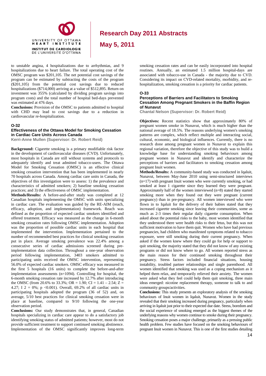

**May 5, 2011**

to unstable angina, 4 hospitalizations due to arrhythmias, and 9 hospitalizations due to heart failure. The total operating cost of the OMSC program was \$201,105. The net potential cost savings of the program can be estimated by subtracting the costs of the program (\$201,105) from the potential cost savings due to reduced hospitalizations (\$714,000) arriving at a value of \$512,895. Return on investment was 355% (calculated by dividing program savings into program costs) and the total number of hospital bed-days prevented was estimated at 476 days.

**Conclusions:** Provision of the OMSC to patients admitted to hospital with CHD may lead to cost savings due to a reduction in cardiovascular re-hospitalization.

#### **O-32**

#### **Effectiveness of the Ottawa Model for Smoking Cessation in Cardiac Care Units Across Canada**

**Kerri-Anne Mullen (Supervisor: Dr. Robert Reid)** 

**Background:** Cigarette smoking is a primary modifiable risk factor in the development of cardiovascular diseases (CVD). Unfortunately, most hospitals in Canada are still without systems and protocols to adequately identify and treat admitted tobacco-users. The Ottawa Model for Smoking Cessation (OMSC) is an effective clinical smoking cessation intervention that has been implemented in nearly 70 hospitals across Canada. Among cardiac care units in Canada, the objectives of this investigation were to assess: 1) the prevalence and characteristics of admitted smokers; 2) baseline smoking cessation practices; and 3) the effectiveness of OMSC implementation.

**Methods/Results:** A before-and-after study was completed at 12 Canadian hospitals implementing the OMSC with units specializing in cardiac care. The evaluation was guided by the RE-AIM (reach, efficacy, adoption, and implementation) framework. Reach was defined as the proportion of expected cardiac smokers identified and offered treatment. Efficacy was measured as the change in 6-month smoking cessation rates following OMSC implementation. Adoption was the proportion of possible cardiac units in each hospital that implemented the intervention. Implementation pertained to the number of recommended best practices for clinical smoking cessation put in place. Average smoking prevalence was 22.4% among a consecutive series of cardiac admissions screened during preimplementation data collection. Throughout a one-year observation period following implementation, 3403 smokers admitted to participating units received the OMSC intervention, representing 56.0% of expected cardiac smokers. OMSC efficacy was measured in the first 5 hospitals (16 units) to complete the before-and-after implementation assessments ( $n=1094$ ). Controlling for hospital, the 6-month smoking cessation rate increased by 12.7% after introducing the OMSC (from 20.6% to 33.3%; OR = 1.90; CI = 1.41 – 2.54; Z = 4.27; I  $2 = 0\%$ ; p <0.001). Overall, 69.2% of all cardiac units in participating hospitals adopted the program (36 of 52) and, on average, 5/10 best practices for clinical smoking cessation were in place at baseline, compared to 9/10 following the one-year observation period.

**Conclusions:** Our study demonstrates that, in general, Canadian hospitals specializing in cardiac care appear to do a satisfactory job identifying smoking status of admitted patients; however, most do not provide sufficient treatment to support continued smoking abstinence. Implementation of the OMSC significantly improves long-term

smoking cessation rates and can be easily incorporated into hospital routines. Annually, an estimated 1.5 million hospital-days are associated with tobacco-use in Canada - the majority due to CVD. Considering its impact on CVD-related mortality, morbidity, and rehospitalization, smoking cessation is a priority for cardiac patients.

#### **O-33**

#### **Perceptions of Barriers and Facilitators to Smoking Cessation Among Pregnant Smokers in the Baffin Region of Nunavut**

**Chantal Nelson (Supervisor: Dr. Robert Reid)**

**Objectives:** Recent statistics show that approximately 80% of pregnant women smoke in Nunavut, which is much higher than the national average of 18.5%. The reasons underlying women's smoking patterns are complex, which reflect multiple and interacting social, cultural, economic, and biological influences. Currently, there is no research done among pregnant women in Nunavut to explain this regional variation, therefore the objective of this study was to build a knowledge base for understanding smoking behaviours among pregnant women in Nunavut and identify and characterize the perceptions of barriers and facilitators to smoking cessation among pregnant Inuit women.

**Methods/Results:** A community-based study was conducted in Iqaluit, Nunavut, between May-June 2010 using semi-structured interviews (n=17) with pregnant Inuit women who were currently smoking, or had smoked at least 1 cigarette since they learned they were pregnant. Approximately half of the women interviewed (n=8) stated they started smoking more when they found out they were pregnant (current pregnancy) than in pre-pregnancy. All women interviewed who were flown in to Iqaluit for the delivery of their babies stated that they increased cigarette smoking since leaving their communities, some as much as 2-3 times their regular daily cigarette consumption. When asked about the potential risks to the baby, most women identified that they understood there were health risks to their fetus, but this was not sufficient motivation to have them quit. Women who have had previous pregnancies, had children who manifested symptoms related to tobacco exposure, were still smoking during their current pregnancy. When asked if the women knew where they could go for help or support to quit smoking, the majority stated that they did not know of any existing programs or did not know where to go. All women reported stress as the main reason for their continued smoking throughout their pregnancy. Stress factors included financial situations, housing instability, troubled partner relationships and single parenthood. All women identified that smoking was used as a coping mechanism as it helped them relax, and temporarily relieved their anxiety. The women were asked what they feel could help them quit smoking, three main ideas emerged: nicotine replacement therapy, someone to talk to and community groups/activities.

**Conclusions:** This study presents an exploratory analysis of the smoking behaviours of Inuit women in Iqaluit, Nunavut. Women in the study revealed that their smoking increased during pregnancy, particularly when arriving in Iqaluit just prior to their expected due date. Stress, boredom and the social experience of smoking emerged as the biggest themes of the underlying reasons why women continue to smoke during their pregnancy. Smoking cessation poses a major challenge, primarily as a pressing public health problem. Few studies have focused on the smoking behaviours of pregnant Inuit women in Nunavut. This is one of the first studies detailing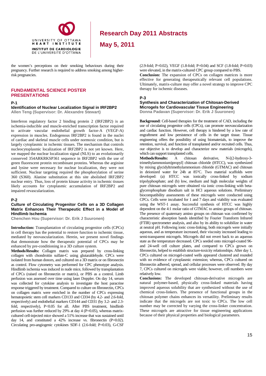

**May 5, 2011**

the women's perceptions on their smoking behaviours during their pregnancy. Further research is required to address smoking among higherrisk pregnancies.

## **FUNDAMENTAL SCIENCE POSTER PRESENTATIONS**

**P-1** 

### **Identification of Nuclear Localization Signal in IRF2BP2**

**Allen Teng (Supervisor: Dr. Alexandre Stewart)**

Interferon regulatory factor 2 binding protein 2 (IRF2BP2) is an ischemia-inducible and muscle-enriched transcription factor required to activate vascular endothelial growth factor-A (VEGF-A) expression in muscles. Endogenous IRF2BP2 is found in the nuclei of cardiac and skeletal muscle cells under normoxic condition, but is largely cytoplasmic in ischemic tissues. The mechanism that controls nucleocytoplasmic localization of IRF2BP2 is not yet known. Here, we mapped the nuclear localization signal (NLS) to an evolutionarily conserved 354ARKRKSP361 sequence in IRF2BP2 with the use of green fluorescent protein recombinant proteins. Whereas the arginine and lysine were necessary for nuclear localization, they were not sufficient. Nuclear targeting required the phosphorylation of serine 360 (S360). Alanine substitution at this site abolished IRF2BP2 nuclear entry. Thus, loss of protein kinase activity in ischemic tissues likely accounts for cytoplasmic accumulation of IRF2BP2 and impaired revascularization.

### **P-2**

#### **Culture of Circulating Progenitor Cells on a 3D Collagen Matrix Enhances Their Therapeutic Effect in a Model of Hindlimb Ischemia**

**Chenchen Hou (Supervisor: Dr. Erik J Suuronen)**

**Introduction:** Transplantation of circulating progenitor cells (CPCs) in cell therapy has the potential to restore function to ischemic tissue, mediated by neovascularization. Herein, we present novel findings that demonstrate how the therapeutic potential of CPCs may be enhanced by pre-conditioning in a 3D culture system.

**Methods/Results:** Collagen matrix was prepared by cross-linking collagen with chondroitin sulfate-C using glutaraldehyde. CPCs were isolated from human donors, and cultured on a 3D matrix or on fibronectin as control. Flow cytometry was performed for CPC phenotype analysis. Hindlimb ischemia was induced in nude mice, followed by transplantation of CPCs (raised on fibronectin or matrix), or PBS as a control. Limb perfusion was assessed over time using laser Doppler. On day 14, serum was collected for cytokine analysis to investigate the host paracrine response triggered by treatment. Compared to culture on fibronectin, CPCs on collagen matrix were enriched in the number of CPCs expressing hematopoietic stem cell markers CD133 and CD34 (by 4.2- and 2.6-fold, respectively) and endothelial markers CD144 and CD31 (by 3.2- and 2.3 fold, respectively), P<0.05 for all. After PBS treatment, hindlimb perfusion was further reduced by 29% at day 4 ( $P=0.05$ ), whereas matrixcultured cell-injected mice showed a 51% increase that was sustained until day 14, and constituted a 42% increase vs. fibronectin  $(P=0.02)$ . Circulating pro-angiogenic cytokines SDF-1 (2.6-fold; P=0.03), G-CSF

 $(2.9-fold; P=0.02)$ , VEGF  $(1.8-fold; P=0.04)$  and SCF  $(1.8-fold; P=0.03)$ were elevated, in the matrix-cultured CPC group compared to PBS. **Conclusion:** The expansion of CPCs on collagen matrices is more effective for generating therapeutically relevant cell populations. Ultimately, matrix-culture may offer a novel strategy to improve CPC therapy for ischemic diseases.

#### **P-3 Synthesis and Characterization of Chitosan-Derived Microgels for Cardiovascular Tissue Engineering Donna Padavan (Supervisor: Dr. Erik J Suuronen)**

**Background:** Cell-based therapies for the treatment of CAD, including the use of circulating progenitor cells (CPCs), can promote neovascularization and cardiac function. However, cell therapy is hindered by a low rate of engraftment and low persistence of cells in the target tissue. Tissue engineering offers the possibility of using biomaterials, to improve the retention, survival, and function of transplanted and/or recruited cells. Thus, our objective is to develop and characterize new materials (microgels), which can support transplanted cells.<br> **Methods/Results:** A chitosan

**Methods/Results:** A chitosan derivative, N-[(2-hydroxy-3 trimethylammonium)propyl] chitosan chloride (HTCC), was synthesized by mixing glycidyltrimethylammonium chloride (GTMAC) and chitosan in deionized water for 24h at 85°C. Two material scaffolds were developed: (a) HTCC was ionically cross-linked by sodium tripolyphosphate; and (b) low, medium and high molecular weights of pure chitosan microgels were obtained via ionic cross-linking with betaglycerophosphate disodium salt in HCl aqueous solutions. Preliminary biocompatibility assessments of these microgels were conducted using CPCs. Cells were incubated for 1 and 7 days and viability was evaluated using the WST-1 assay. Successful synthesis of HTCC was highly dependent on the 4:1 molar ratio of GTMAC to amino groups of chitosan. The presence of quaternary amino groups on chitosan was confirmed by characteristic absorption bands identified by Fourier Transform Infrared (FTIR) spectrometer analysis, and also by its ability to solubilize in water at neutral pH. Following ionic cross-linking, both microgels were initially aqueous, and as temperature increased, their viscosity increased leading to semi-transparent microgels. Microgels did not revert back to an aqueous state as the temperature decreased. CPCs seeded onto microgel-coated 96 and 24-well cell culture plates, and compared to CPCs grown on fibronectin, helped to establish structure-toxicity relationships. After day 1, CPCs cultured on microgel-coated wells appeared clustered and rounded with no evidence of cytoplasmic extension; whereas, CPCs cultured on fibronectin adhered, spread, and cellular processes were observed. By day 7, CPCs cultured on microgels were viable; however, cell numbers were relatively low.

**Conclusions:** The developed chitosan-derivative microgels are natural polymer-based, physically cross-linked materials having improved aqueous solubility that are synthesized without the use of chemical cross-linkers. The presence of functional groups in the chitosan polymer chains enhances its versatility. Preliminary results indicate that the microgels are not toxic to CPCs. The low cell number may be corrected by varying the cross-linker concentration. These microgels are attractive for tissue engineering applications because of their physical properties and biological parameters.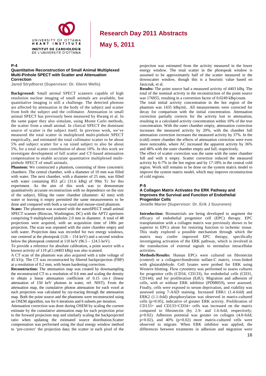

**May 5, 2011**

### **P-4**

#### **Quantitative Reconstruction of Small Animal Multiplexed Multi-Pinhole SPECT with Scatter and Attenuation Correction**

**Jared Strydhorst (Supervisor: Dr. Glenn Wells)**

**Background:** Small animal SPECT scanners capable of high resolution nuclear imaging of small animals are available, but quantitative imaging is still a challenge. The detected photons are affected by attenuation in the body of the subject and scatter from both the subject and the collimator. Attenuation in small animal SPECT has previously been measured by Hwang et al. In the same paper they also simulate, using Monte Carlo methods, the scatter from a small animal. In clinical SPECT the dominant source of scatter is the subject itself. In previous work, we've measured the total scatter in multiplexed multi-pinhole SPECT empirically, and estimated the total collimator scatter to be about 5% and subject scatter for a rat sized subject to also be about 5%, for a total scatter contribution of about 10%. In this work we investigate development of full scatter and CT-based attenuation compensation to enable accurate quantitative multiplexed multipinhole SPECT of small animals.

**Phantom:** We constructed a phantom, consisting of three concentric chambers. The central chamber, with a diameter of 10 mm was filled with water. The next chamber, with a diameter of 25 mm, was filled with water containing 853 µCi (31.6 kBq) of 99m Tc for this experiment. As the aim of this work was to demonstrate quantitatively accurate reconstruction with no dependence on the size of the subject, filling the outer chamber (diameter: 42 mm) with water or leaving it empty permitted the same measurements to be done and compared with both a rat-sized and mouse-sized phantom.

**Scans:** The phantom was scanned with the nanoSPECT small animal SPECT scanner (Bioscan, Washington, DC) with the APT2 apertures comprising 9 multiplexed pinholes 2.0 mm in diameter. A total of 48 projections were acquired, with an acquisition time of 180s per projection. The scan was repeated with the outer chamber empty and with water. Projection data was recorded for two energy windows, one centered at the photopeak (126 – 154 keV) and a second window below the photopeak centered at 110 keV (96.5 – 124.5 keV).

To provide a reference for absolute calibration, a point source with a known activity of 119 µCi (4403 kBq) was also scanned.

A CT scan of the phantom was also acquired with a tube voltage of 45 kVp. The CT was reconstructed by filtered backprojection (FBP) at a resolution of 0.2 mm, with beam hardening correction.

**Reconstruction:** The attenuation map was created by downsampling the reconstructed CT to a resolution of 0.6 mm and scaling the density to obtain a linear attenuation coefficient of 0.15 cm-1 (linear attenuation of 150 keV photons in water, ref. NIST). From the attenuation map, the cumulative photon attenuation for each voxel at each projection was calculated by ray-tracing through the attenuation map. Both the point source and the phantoms were reconstructed using an OSEM algorithm, run for 6 iterations and 6 subsets per iteration.

Attenuation correction was done during OSEM by scaling the current estimate by the cumulative attenuation map for each projection prior to the forward projection step and similarly scaling the backprojected ratio when updating the estimated source distribution.Scatter compensation was performed using the dual energy window method to 'pre-correct' the projection data; the scatter in each pixel of the

projection was estimated from the activity measured in the lower energy window. The total scatter in the photopeak window is assumed to be approximately half of the scatter measured in the downscatter window, though this is a heuristic value based on Jaszczak, et al.

**Results:** The point source had a measured activity of 4403 kBq. The total of the nominal activity in the reconstruction of the point source was 176955, resulting in a conversion factor of 0.0249 kBq/count.

The total initial activity concentration in the hot region of the phantom was 1435 kBq/mL. All measurements were corrected for decay for comparison with the initial concentration. Attenuation correction partially corrects for the activity lost to attenuation, resulting in a calculated activity concentration within 10% of the true concentration. With the outer chamber empty, attenuation correction increases the measured activity by 20%, with the chamber full attenuation correction increases the measured activity by 37%. In the (cold) centre chamber the effects of attenuation correction were even more noticeable, where AC increased the apparent activity by 36% and 48% with the outer chamber empty and full, respectively.

The effect of scatter correction was the same with the outer chamber full and with it empty. Scatter correction reduced the measured activity by 6-7% in the hot region and by 17-18% in the central cold region. Work still remains to be done on the system matrix model to improve the system matrix model, which may improve reconstruction of cold regions.

#### **P-5**

#### **A Collagen Matrix Activates the ERK Pathway and Improves the Survival and Function of Endothelial Progenitor Cells**

**Jenelle Marier (Supervisor: Dr. Erik J Suuronen)**

**Introduction:** Biomaterials are being developed to augment the efficacy of endothelial progenitor cell (EPC) therapy. EPC transplantation with a collagen matrix was previously shown to be superior to EPCs alone for restoring function to ischemic tissue. This study explored a possible mechanism through which the matrix may confer improved EPC therapy, specifically investigating activation of the ERK pathway, which is involved in the transduction of external signals to normalize intracellular activities.

**Methods/Results:** Human EPCs were cultured on fibronectin (control) or a collagen/chondroitin sulfate-C matrix, cross-linked with glutaraldehyde. Cell lysates were probed for ERK using Western blotting. Flow cytometry was performed to assess cultures for progenitor cells (CD34, CD133), for endothelial cells (CD31, CD144); and for proliferation (EdU). Migration and adhesion of cells, with or without ERK inhibitor (PD98059), were assessed. Finally, cells were exposed to serum deprivation, and viability was assessed using 7-AAD staining. Increased ERK1 (1.4-fold) and ERK2 (1.1-fold) phosphorylation was observed in matrix-cultured cells (p=0.05), indicative of greater ERK activity. Proliferation of CD133+ and CD133+CD34+ cells was increased on the matrix compared to fibronectin (by 2.9- and 1.6-fold, respectively; p=0.02). Adhesion potential was greater on collagen (4.0-fold;  $p=0.02$ ), and 40% ( $p=0.02$ ) more matrix-cultured cells were observed to migrate. When ERK inhibitor was applied, the differences between treatments in adhesion and migration were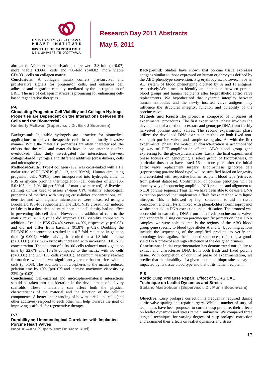

**May 5, 2011**

abrogated. After serum deprivation, there were  $3.8\text{-}$  fold (p=0.07) more viable CD34+ cells and 7.8-fold (p=0.02) more viable CD133+ cells on collagen matrix.

**Conclusions:** A collagen matrix confers pro-survival and proliferative signals for progenitor cells, and enhances cell adhesion and migration capacity, mediated by the up-regulation of ERK. The use of collagen matrices is promising for enhancing cellbased regenerative therapies.

#### **P-6**

#### **Circulating Progenitor Cell Viability and Collagen Hydrogel Properties are Dependent on the Interactions between the Cells and the Biomaterial**

**Kimberly McEwan (Supervisor: Dr. Erik J Suuronen)**

**Background:** Injectable hydrogels are attractive for biomedical applications to deliver therapeutic cells in a minimally invasive manner. While the materials' properties are often characterized, the effects that the cells and materials have on one another is often overlooked. This study investigated the interactions between collagen-based hydrogels and different additives (cross-linkers, cells and microspheres).

**Methods/Results:** Type-I collagen (1%) was cross-linked with a 1:1 molar ratio of EDC/NHS (6.5, 13, and 26mM). Human circulating progenitor cells (CPCs) were incorporated into hydrogels either in PBS or glycine prior to thermogelation (cell densities of 2.5×105, 5.0 $\times$ 105, and 1.0 $\times$ 106 per 500 $\mu$ L of matrix were tested). A live/dead staining kit was used to assess 24-hour CPC viability. Rheological properties of matrices with varying cross-linker concentrations, cell densities and with alginate microspheres were measured using a Brookfield R/S-Plus Rheometer. The EDC/NHS cross-linker induced cell death in a dose-dependent manner, and cell density had no effect in preventing this cell death. However, the addition of cells to the matrix mixture in glycine did improve CPC viability compared to addition of cells in PBS (74.4% versus 44.9%, respectively; p=0.03), and did not differ from baseline  $(91.8\%; p=0.2)$ . Doubling the EDC/NHS concentration resulted in a 0.7-fold reduction in gelation time (p=0.004), while halving it resulted in a 1.8-fold increase (p<0.0001). Maximum viscosity increased with increasing EDC/NHS concentration. The addition of  $1.0 \times 106$  cells reduced matrix gelation time by 22.6% and 18.2% compared to the matrix with no cells  $(p=0.001)$  and  $2.5\times105$  cells  $(p=0.01)$ . Maximum viscosity reached for matrices with cells was significantly greater than matrices without cells (p=0.03). The addition of microspheres to the matrix reduced gelation time by 10% (p=0.03) and increase maximum viscosity by  $23\%$  (p=0.02).

**Conclusions:** Cell-material and microsphere-material interactions should be taken into consideration in the development of delivery scaffolds. These interactions can affect both the physical characteristics of the material and the function of the cellular components. A better understanding of how materials and cells (and other additives) respond to each other will help towards the goal of improving scaffolds for regenerative therapy.

### **P-7**

#### **Durability and Immunological Correlates with Implanted Porcine Heart Valves**

**Noor Al-Attar (Supervisor: Dr. Marc Ruel)**

**Background:** Studies have shown that porcine tissue expresses antigens similar to those expressed on human erythrocytes defined by the ABO phenotype convention. Pig erythrocytes, however, have an AO system of blood phenotyping dictated by A and H antigens, respectively.We aimed to identify an interaction between porcine blood groups and human recipients after bioprosthetic aortic valve replacements. We hypothesized that dynamic interplay between human antibodies and the newly inserted valve antigens may influence the structural integrity, function and durability of the porcine valve.

**Methods and Results:**The project is composed of 3 phases of experimental procedures. The first experimental phase involves the development of a method to extract and genotype DNA from freshly harvested porcine aortic valves. The second experimental phase utilizes the developed DNA extraction method on both fixed nonxenograft porcine valves and sample xenografts. As with the first experimental phase, the molecular characterization is accomplished by way of PCR-amplification of the ABO blood group gene expressing for the glycosyltransferases. Lastly, the final experimental phase focuses on genotyping a select group of bioprostheses, in particular those that have lasted 16 or more years after the initial aortic valve replacement surgery. Bioprosthesis genotype data (representing porcine blood type) will be stratified based on longevity and correlated with respective human recipient blood type (retrieved from patient database). Confirmation of porcine genotypes will be done by way of sequencing amplified PCR products and alignment to NCBI porcine sequence.Thus far we have been able to devise a DNA extraction protocol that implements a flash freeze method with liquid nitrogen. This is followed by high sonication to aid in tissue breakdown and cell lysis, mixed with phenol:chloroform:isopropanol washes that aid in DNA extraction and purification. The protocol was successful in extracting DNA from both fresh porcine aortic valves and xenografts. Using custom porcine-specific primers on these DNA samples, we were able to amplify the regions of the ABO blood group gene specific to blood type alleles A and O. Upcoming actions include the sequencing of the amplified products to verify the homology level against the intended sequences, reflecting a goodyield DNA protocol and high efficiency of the designed primers.

**Conclusions:** Initial experimentation has demonstrated our ability to extract and characterize DNA from both fresh and fixed porcine tissue. With completion of our third phase of experimentation, we predict that the durability of a given implanted bioprosthesis may be impacted by its tissue blood type and that of its human recipient.

#### **P-8**

#### **Aortic Cusp Prolapse Repair: Effect of SURGICAL Technique on Leaflet Dynamics and Stress**

**Stefano Mastrobuoni (Supervisor: Dr. Munir Boodhwani)**

**Objective:** Cusp prolapse correction is frequently required during aortic valve sparing and repair surgery. While a number of surgical techniques have been proposed to correct cusp prolapse, their effects on leaflet dynamics and stress remain unknown. We compared three surgical techniques for varying degrees of cusp prolapse correction and examined their effects on leaflet dynamics and stress.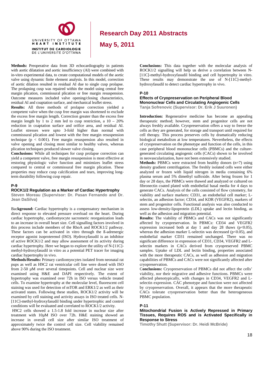

**May 5, 2011**

**Methods:** Preoperative data from 3D echocardiography in patients with aortic dilatation and aortic insufficiency (AI) were combined with in-vitro experimental data, to create computational models of the aortic valve using dynamic finite element analysis. In this model, correction of aortic dilation resulted in residual AI due to single cusp prolapse. The prolapsing cusp was repaired within the model using central free margin plication, commissural plication or free margin resuspension. Outcome measures included valve opening/closing characteristics, residual AI and coaptation surface, and mechanical leaflet stress.

**Results:** All three methods of prolapse correction yielded a competent valve when the cusp free margin was shortened to exclude the excess free margin length. Correction greater than the excess free margin length by 1 to 2 mm led to cusp restriction, a  $10 - 20\%$ reduction in coaptation surface and orifice area, and residual AI. Leaflet stresses were upto 3-fold higher than normal with commissural plication and lowest with the free margin resuspension technique ( $p < 0.001$ ). Free margin resuspension also resulted in valve opening and closing most similar to healthy valves, whereas plication techniques produced slower valve closing.

**Conclusions:** While all techniques for cusp prolapse correction can yield a competent valve, free margin resuspension is most effective at restoring physiologic valve function and minimizes leaflet stress compared to central or commissural free margin plication. These properties may reduce cusp calcification and tears, improving longterm durability following cusp repair.

#### **P-9**

#### **ROCK1/2 Regulation as a Marker of Cardiac Hypertrophy**

**Steven Moreau (Supervisor: Dr. Pasan Fernando and Dr. Jean DaSilva)**

Bac**kground:** Cardiac hypertrophy is a compensatory mechanism in direct response to elevated pressure overload on the heart. During cardiac hypertrophy, cardiomyocyte sacromeric reorganization leads to an increase in overall heart size. Cell signalling factors involved in this process include members of the RhoA and ROCK1/2 pathway. These factors can be activated in vitro through the ß-adrenergic receptor agonist isoproterenol (ISO). Hydroxyfasudil is an inhibitor of active ROCK1/2 and may allow assessment of its activity during cardiac hypertrophy. Here we began to explore the utility of N-[11C] methyl-hydroxyfasudil in vitro as a potential PET tracer for imaging cardiac hypertrophy in vivo.

**Methods/Results:** Primary cardiomyocytes isolated from neonatal rat pups as well as H9C2 rat ventricular cell line were dosed with ISO from 2-50 µM over several timepoints. Cell and nuclear size were examined using H&E and DAPI respectively. The extent of hypertrophy was examined over 72h in ISO versus vehicle treated cells. To examine hypertrophy at the molecular level, fluorescent cell staining was used for detection of mTOR and ERK1/2 as well as their activated states. Following these studies, ROCK1/2 activity will be examined by cell staining and activity assays in ISO treated cells. N- [11C]-methyl-hydroxyfasudil binding under hypertrophic and control conditions will be evaluated and correlated to ROCK1/2 activity.

 H9C2 cells showed a 1.5-1.8 fold increase in nuclear size after treatment with 10µM ISO over 72h. H&E staining showed an increase in overall cell size after similar ISO treatment of approximately twice the control cell size. Cell viability remained above 90% during the ISO treatment.

**Conclusions:** This data together with the molecular analysis of ROCK1/2 signalling will help us derive a correlation between N- [11C]-methyl-hydroxyfasudil binding and cell hypertrophy in vitro. These results may demonstrate the use of N-[11C]-methylhydroxyfasudil to detect cardiac hypertrophy in vivo.

#### **P-10 Effects of Cryopreservation on Peripheral Blood Mononuclear Cells and Circulating Angiogenic Cells Tanja Sofrenovic (Supervisor: Dr. Erik J Suuronen)**

**Introduction:** Regenerative medicine has become an appealing therapeutic method; however, stem and progenitor cells are not always freshly available. Cryopreservation offers a way to freeze the cells as they are generated, for storage and transport until required for cell therapy. This process preserves cells by dramatically reducing biological metabolism at low temperatures. Nevertheless, the effects of cryopreservation on the phenotype and function of the cells, in this case peripheral blood mononuclear cells (PBMCs) and the culturegenerated circulating angiogenic cells (CACs) shown to be involved in neovascularization, have not been extensively studied.

**Methods:** PBMCs were extracted from healthy donors (n=7) using density gradient centrifugation. The freshly isolated cells were either analyzed or frozen with liquid nitrogen in media containing 6% plasma serum and 5% dimethyl sulfoxide. After being frozen for 1 day or 28 days, the PBMCs were thawed and analyzed or cultured on fibronectin coated plated with endothelial basal media for 4 days to generate CACs. Analysis of the cells consisted of flow cytometry, for viability and surface markers: CD31, an endothelial cell marker; Lselectin, an adhesion factor; CD34, and KDR (VEGFR2), markers of stem and progenitor cells. Functional analysis was also conducted to assess low-density-lipoprotein (LDL) uptake and lectin binding, as well as the adhesion and migration potential.

**Results:** The viability of PBMCs and CACs was not significantly affected by cryopreservation. In PBMCs: CD34 and VEGFR2 expression increased both at day 1 and day 28 thaws ( $p < 0.05$ ), whereas the adhesion marker L-selectin was decreased ( $p<0.05$ ), and endothelial marker CD31 remained unchanged. There was no significant difference in expression of CD31, CD34, VEGFR2 and Lselectin markers in CACs derived from cryopreserved PBMC samples. Uptake of LDL and lectin binding, properties associated with the more therapeutic CACs, as well as adhesion and migration capabilities of PBMCs and CACs were not significantly affected after cryopreservation.

C**onclusions:** Cryopreservation of PBMCs did not affect the cells' viability, nor their migrative and adhesive functions. PBMCs were affected phenotypically, with changes in CD34, VEGFR2 and Lselectin expression. CAC phenotype and function were not affected by cryopreservation. Overall, it appears that the more therapeutic CACs tolerate cryopreservation better than the heterogeneous PBMC population.

### **P-11**

#### **Mitochondrial Fusion is Actively Repressed in Primary Tissues, Requires ROS and is Activated Specifically in Response to Stress**

**Timothy Shutt (Supervisor: Dr. Heidi McBride)**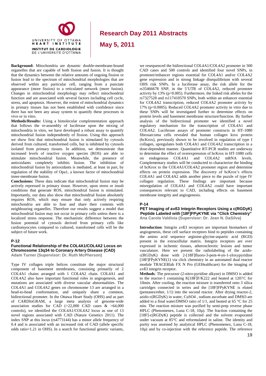# UNIVERSITY OF OTTAWA<br>HEART INSTITUTE **INSTITUT DE CARDIOLOGIE** DE L'UNIVERSITÉ D'OTTAWA

# **Research Day 2011 Abstracts**

**May 5, 2011**

**Background:** Mitochondria are dynamic double-membrane-bound organelles that are capable of both fission and fusion. It is thought that the dynamics between the relative amounts of ongoing fission or fusion lead to the spectrum of mitochondrial morphologies that are observed within any particular cell, ranging from a punctate appearance (more fission) to a reticulated network (more fusion). Changes in mitochondrial morphology may reflect mitochondrial function and are associated with several factors including cell cycle, stress, and apoptosis. However, the extent of mitochondrial dynamics in primary tissues has not been established with confidence since there has not been any assay system to quantify these processes in vivo or in vitro.

**Methods/Results:** Using a bimolecular complementation approach that follows the re-assembly of luciferase upon the mixing of mitochondria in vitro, we have developed a robust assay to quantify mitochondrial fusion independently of fission. Using this approach we show first that mitochondrial fusion is stimulated by cytosols derived from cultured, transformed cells, but is inhibited by cytosols isolated from primary tissues. In addition, we demonstrate that increased levels of reactive oxygen species (ROS) are able to stimulate mitochondrial fusion. Meanwhile, the presence of antioxidants completely inhibits fusion. The inhibition of mitochondrial fusion by antioxidants is mediated, at least in part, by regulation of the stability of Opa1, a known factor of mitochondrial inner-membrane fusion.

**Conclusions:** These data indicate that mitochondrial fusion may be actively repressed in primary tissue. However, upon stress or insult conditions that generate ROS, mitochondrial fusion is stimulated. Importantly, our data also show that mitochondrial fusion absolutely requires ROS, which may ensure that only actively respiring mitochondria are able to fuse and share their contents with neighbouring organelles. Therefore our results suggest a model that mitochondrial fusion may not occur in primary cells unless there is a localized stress response. The mechanistic difference between the fusion potential of cytosols derived from primary cells like cardiomyocytes compared to cultured, transformed cells will be the subject of future work.

### **P-12**

### **Functional Relationship of the COL4A1/COL4A2 Locus on Chromosome 13q34 to Coronary Artery Disease (CAD)**

**Adam Turner (Supervisor: Dr. Ruth McPherson)**

Type IV collagen triple helices constitute the major structural component of basement membranes, consisting primarily of 2 COL4A1 chains arranged with 1 COL4A2 chain. COL4A1 and COL4A2 also have important functional roles in angiogenesis, and mutations are associated with diverse vascular abnormalities. The COL4A1 and COL4A2 genes on chromosome 13 are arranged in a head-to-head conformation, and uniquely share a common, bidirectional promoter. In the Ottawa Heart Study (OHS) and as part of CARDIoGRAM, a large meta analysis of genome-wide association studies for CAD (>22,000 CAD cases  $\&$  >64,000 controls), we identified the COL4A1/COL4A2 locus as one of 13 novel regions associated with CAD (Nature Genetics 2011). The index SNP at this locus (rs4773144) has a minor allele frequency of 0.4 and is associated with an increased risk of CAD (allele specific odds ratio=1.21 in OHS). In a search for functional genetic variants,

we resequenced the bidirectional COL4A1/COL4A2 promoter in 500 CAD cases and 500 controls and identified four novel SNPs, in promoter/enhancer regions essential for COL4A1 and/or COL4A2 gene expression and in strong linkage disequilibrium with several OHS risk SNPs. In a luciferase assay, the risk allele for the rs35466678 SNP, in the 5'UTR of COL4A2, reduced promoter activity by 13% (p<0.005). Furthermore, the linked risk alleles for the rs7327528 and rs117410570 SNPs, both within an enhancer essential for COL4A2 transcription, reduced COL4A2 promoter activity by 17% (p<0.0005). Reduced COL4A2 promoter activity in vitro due to these SNPs will be investigated further to determine effects on protein levels and basement membrane structure/function. By further analysis of the bidirectional promoter we identified a novel regulatory mechanism for the transcription of COL4A1 and COL4A2. Luciferase assays of promoter constructs in HT-1080 fibrosarcoma cells revealed that human collagen krox protein (hcKrox), previously shown to be involved in regulation of type I collagen, upregulates both COL4A1 and COL4A2 transcription in a dose-dependent manner. Quantitative RT-PCR studies are underway to determine the effect of overexpression of hcKrox in HT-1080 cells on endogenous COL4A1 and COL4A2 mRNA levels. Complementary studies will be conducted to characterize the binding of hcKrox to the COL4A1/COL4A2 promoter region and determine effects on protein expression. The discovery of hcKrox's effects COL4A1 and COL4A2 adds another piece to the puzzle of type IV collagen regulation. These findings are important because misregulation of COL4A1 and COL4A2 could have important consequences relevant to CAD, including effects on basement membrane integrity and angiogenesis.

### **P-14**

**PET Imaging of avß3 Integrin Receptors Using a c(RGDyK) Peptide Labeled with [18F]FPyKYNE via "Click Chemistry" Ana Carola Valdivia (Supervisor: Dr. Jean N. DaSilva)**

**Introduction**: Integrin avß3 receptors are important biomarkers of angiogenesis, these cell surface receptors bind to peptides containing the amino acid sequence arginine-glycine-aspartic acid (RGD) present in the extracellular matrix. Integrin receptors are over expressed in ischemic tissues, atherosclerotic lesions and tumor vasculature. Here we present the radiolabeling of the azidoc(RGDyK) done with 2-[18F]fluoro-3-pent-4-yn-1-yloxypyridine [18F]FPyKYNE(1) via click chemistry in an automated dual reactor module TRACERlab FX N Pro (GEHealthcare) for the imaging of avß3 integrin receptor.

**Methods**: The precursor (2-nitro-pyridine alkyne) in DMSO is added to the reactor-1 containing K[18F]F/K222 and heated at 120?C for 10min. After cooling, the reaction mixture is transferred onto 3 silica cartridges connected in series and the [18F]FPyKYNE is eluted (pentanes/ether, 1/1) into the second reactor. After drying reactor-2, azido-c(RGDyK) in water, CuSO4 , sodium ascorbate and DMSO are added to a final water/DMSO ratio of 1/1, and heated at 65 °C for 25 min. The reaction mixture was purified by semi-prep reverse phase HPLC (Phenomenex, Luna C-18, 10µ). The fraction containing the [18F]-c(RGDyK) peptide is collected and the solvent evaporated under vacuum at 85°C and reformulated in saline. The identity and purity was assessed by analytical HPLC (Phenomenex, Luna C-18, 10µ) and by co-injection with the reference peptide. The reference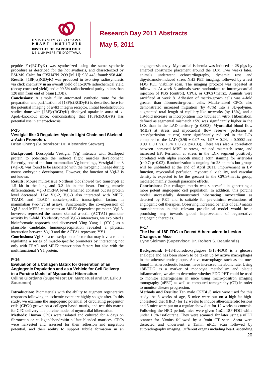

**May 5, 2011**

peptide F-c(RGDyK) was synthesized using the same synthetic procedure as described for the hot synthesis, and characterized by ESI-MS. Calcd for C35H47N12O9 [M+H]: 958.443; found: 958.446. **Results**: [18F]c(RGDyK) was produced in two step radiosynthesis via click chemistry in an overall yield of 15-20% radiochemical yield (decay-corrected yield) and > 99.5% radiochemical purity in less than 120 min from end of beam (EOB).

**Conclusions**: A simple fully automated synthetic route for the preparation and purification of [18F]c(RGDyK) is described here for the potential imaging of avß3 integrin receptor. Initial biodistribution studies done with [18F]c(RGDyK) displayed uptake in aorta of -/- ApoE-knockout mice, demonstrating that [18F]c(RGDyK) has potential use in atherosclerosis.

#### **P-15**

#### **Vestigial-like 3 Regulates Myosin Light Chain and Skeletal a-Actin Promoters**

**Brian Cheng (Supervisor: Dr. Alexandre Stewart)**

**Background:** Drosophila Vestigial (Vg) interacts with Scalloped protein to potentiate the indirect flight muscles development. Recently, one of the four mammalian Vg homologs, Vestigial-like-3 (Vgl-3), was found to be associated with the myogenic lineage during mouse embryonic development. However, the function of Vgl-3 is not known.

**Results:** Mouse multi-tissue Northern blot showed two transcripts at 1.5 kb in the lung and 3.2 kb in the heart. During muscle differentiation, Vgl-3 mRNA level remained constant but its protein level decreased. Like Vgl-2, Vgl-3 also interacted with MEF2, TEAD1 and TEAD4 muscle-specific transcription factors in mammalian two-hybrid assays. Functionally, the co-expression of Vgl-3 and MEF2 co-activates an MEF2-dependent promoter. Vgl-3, however, repressed the mouse skeletal a-actin (ACTA1) promoter activity by 5-fold. To identify novel Vgl-3 interactors, we exploited a bioinformatic approach and discovered Ying Yang 1 (YY1) as a plausible candidate. Immunoprecipitation revealed a physical interaction between Vgl-3 and the ACTA1 repressor, YY1.

**Conclusions:** Vgl-3 is a transcription cofactor that may have a role in regulating a series of muscle-specific promoters by interacting not only with TEAD and MEF2 transcription factors but also with the multifunctional YY1 protein.

#### **P-16**

#### **Evaluation of a Collagen Matrix for Generation of an Angiogenic Population and as a Vehicle for Cell Delivery in a Porcine Model of Myocardial Hibernation**

**Céline Giordano (Supervisor: Dr. Marc Ruel and Dr. Erik J Suuronen)**

**Introduction:** Biomaterials with the ability to augment regenerative responses following an ischemic event are highly sought after. In this study, we examine the angiogenic potential of circulating progenitor cells (CPCs) grown on a collagen-based matrix, and test this matrix for CPC delivery in a porcine model of myocardial hibernation.

**Methods:** Human CPCs were isolated and cultured for 4 days on fibronectin or collagen/chondroitin sulfate blended matrices. CPCs were harvested and assessed for their adhesion and migration potential, and their ability to support tubule formation in an

angiogenesis assay. Myocardial ischemia was induced in 28 pigs by ameroid constrictor placement around the LCx. Two weeks later, animals underwent echocardiography, dynamic rest and dipyridamole-induced stress NH3 PET imaging, followed by a rest FDG PET viability scan. The imaging protocol was repeated at follow-up. At week 3, animals were randomized to intramyocardial injection of PBS (control), CPCs, or CPCs+matrix. Animals were sacrificed at week 8. Adhesion of matrix-grown cells was 4-fold greater than fibronectin-grown cells. Matrix-raised CPCs also demonstrated increased migration (by 40%) into a 3D-polymer, augmented total length of capillary-like networks (by 18%), and a 1.9-fold increase in incorporation into tubules in vitro. Hibernation, defined as segmental mismatch >5% was significantly higher in the LCx than in the LAD territory  $(p=0.003)$ . Myocardial blood flow (MBF) at stress and myocardial flow reserve (perfusion at stress/perfusion at rest) were significantly reduced in the LCx compared to the LAD (0.96  $\pm$  0.07 vs. 1.97  $\pm$  0.24, p=0.0002 and  $0.99 \pm 0.1$  vs.  $1.74 \pm 0.28$ , p=0.03). There was also a correlation between increased MBF at stress, reduced mismatch score, and increased EF. Perfusion at stress in the LCx segment positively correlated with alpha smooth muscle actin staining for arterioles  $(r=0.7; p=0.02)$ . Randomization is ongoing for 28 animals but groups will be unblinded at the end of April 2011. Improvement in LV function, myocardial perfusion, myocardial viability, and vascular density is expected to be the greatest in the CPCs+matrix group, mediated mainly through paracrine effects.

**Conclusions:** Our collagen matrix was successful in generating a more potent angiogenic cell population. In addition, this porcine model successfully demonstrated hibernating myocardium as detected by PET and is suitable for pre-clinical evaluations of angiogenic cell therapies. Observing increased benefits of cell+matrix transplantation in this relevant pre-clinical model would be a promising step towards global improvement of regenerative angiogenic therapies.

### **P-17**

#### **The Use of 18F-FDG to Detect Atherosclerotic Lesion Changes in Mice**

**Lyne Sleiman (Supervisor: Dr. Robert S. Beanlands)**

**Background:** F-18-fluorodeoxyglugose (F18-FDG) is a glucose analogue and has been shown to be taken up by active macrophages in the atherosclerotic plaque. Active macrophage, such as the ones found in atherosclerotic lesions, have increased metabolic rate. Using 18F-FDG as a marker of monocyte metabolism and plaque inflammation, we aim to determine whether FDG PET could be used to monitor atherogenesis in mice using micro-positron imaging tomography (uPET) as well as computed tomography (CT) in order to monitor disease progression.

**Methods and Results:** Ten male C57BL/6 mice were used for this study. At 8 weeks of age, 5 mice were put on a high-fat highcholesterol diet (HFD) for 12 weeks to induce atherosclerotic lesions and 5 mice were put on a regular chow diet for 12 weeks as controls. Following the HFD period, mice were given 1mCi 18F-FDG while under 1.5% isoflourane. They were scanned 1hr later using a uPET scanner for 30mins followed by a 9min CT scan. Aorta were dissected and underwent a 15min uPET scan followed by autoradiography imaging. Different organs including heart, ascending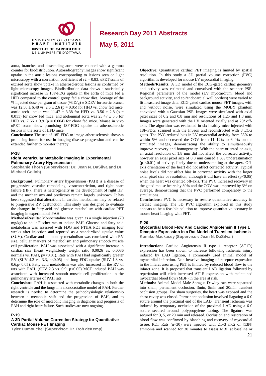

**May 5, 2011**

aorta, branches and descending aorta were counted with a gamma counter for biodistribution. Autoradiography images show significant uptake in the aortic lesions corresponding to lesions seen on light microscopy with a correlation coefficient of  $r2 = 0.83$ . uPET scans of excised aorta show uptake in atherosclerotic lesions as confirmed by light microscopy images. Biodistribution data shows a statistically significant increase in 18F-FDG uptake in the aorta of mice fed a HFD compared to the control group fed a chow diet. Average of the % injected dose per gram of tissue (%ID/g)  $\pm$  SDEV for aortic branch was  $12.56 \pm 6.48$  vs.  $2.6 \pm 2.6$  (p = 0.05) for HFD vs. chow fed mice; aortic arch uptake was  $11.47 \pm 3.38$  for HFD vs.  $3.56 \pm 2.8$  (p = 0.011) for chow fed mice; and abdominal aorta was  $23.47 \pm 5.5$  for HFD vs. 7.66  $\pm$  3.9 (p = 0.004) for chow fed mice. Mouse in vivo uPET scans show promising 18F-FDG uptake in atherosclerotic lesions in the aorta of HFD mice.

UNIVERSITY OF OTTAWA<br>HEART INSTITUTE **INSTITUT DE CARDIOLOGIE** DE L'UNIVERSITÉ D'OTTAWA

**Conclusions:** The use of 18F-FDG to image atherosclerosis shows a promising future for use in imaging disease progression and can be extended further to monitor therapy.

#### **P-18**

### **Right Ventricular Metabolic Imaging in Experimental Pulmonary Artery Hypertension**

**Stephanie Thorn (Supervisors: Dr. Jean N. DaSilva and Dr. Michael Gollob)**

**Background:** Pulmonary artery hypertension (PAH) is a disease of progressive vascular remodeling, vasoconstriction, and right heart failure (HF). There is heterogeneity in the development of right HF, and the mechanisms and predictors remain largely unknown. It has been suggested that alterations in cardiac metabolism may be related to progressive RV dysfunction. This study was designed to evaluate the changes in fatty acid and glucose metabolism with cardiac PET imaging in experimental PAH.

**Methods/Results:** Monocrotaline was given as a single injection (70 mg/kg) to adult Fischer rats to induce PAH. Glucose and fatty acid metabolism was assessed with FDG and FTHA PET imaging four weeks after injection and reported as a standardized uptake value (SUV). Cardiac and pulmonary metabolism was correlated with RV size, cellular markers of metabolism and pulmonary smooth muscle cell proliferation. PAH was associated with a significant increase in cardiac size (heart weight:body weight ratio 0.0026 vs. 0.0036 normals vs. PAH, p=<0.01). Rats with PAH had significantly greater RV (SUV 4.2 vs. 3.3,  $p<0.05$ ) and lung FDG uptake (SUV 1.3 vs. 0.6,p<0.05). Fatty acid metabolism was also increased in the RV of rats with PAH. (SUV 2.3 vs. 0.9, p<0.05) MCT induced PAH was associated with increased smooth muscle cell proliferation in the pulmonary arteries of PAH rats.

**Conclusions:** PAH is associated with metabolic changes in both the right ventricle and the lungs in a monocrotaline model of PAH. Further research is needed to determine the pathophysiologic relationship between a metabolic shift and the progression of PAH, and to determine the role of metabolic imaging in diagnosis and prognosis of PAH and right heart failure. Such studies are now ongoing.

#### **P-19**

### **A 3D Partial Volume Correction Strategy for Quantitative Cardiac Mouse PET Imaging**

**Tyler Dumouchel (Supervisor: Dr. Rob deKemp)**

**Objective:** Quantitative cardiac PET imaging is limited by spatial resolution. In this study a 3D partial volume correction (PVC) algorithm is developed for mouse LV myocardial imaging.

**Methods/Results:** A 3D model of the ECG-gated cardiac geometry and activity was estimated and convolved with the scanner PSF. Regional parameters of the model (LV myocardium, blood and background activity, and epi/endocardial wall borders) were varied to fit measured image data. ECG gated cardiac mouse PET images, with and without noise, were simulated using the MOBY phantom convolved with a Gaussian PSF. Images were simulated with axial pixel sizes of 0.2 and 0.8 mm and resolutions of 1.25 and 1.8 mm. Images were generated with the LV oriented axially and at 20º offaxis. The algorithm was evaluated in six healthy mice injected with 18F-FDG, scanned with the Inveon and reconstructed with 8 ECG gates. The PVC reduced bias in LV myocardial activity from 35% to within 5% and decreased the COV from 11–12% to 6–9% on the simulated images, demonstrating the ability to simultaneously improve recovery and homogeneity. With the heart oriented on-axis, an axial resolution of 1.8 mm did not affect the corrected activity, however an axial pixel size of 0.8 mm caused a 3% underestimation  $(p \le 0.01)$  of activity, likely due to undersampling at the apex. Offaxis orientation of the heart did not affect corrected activity. Typical noise levels did not affect bias in corrected activity with the larger axial pixel size or resolution, although it did have an effect  $(p<0.05)$ when the heart was oriented off-axis. The PVC increased recovery in the gated mouse hearts by 30% and the COV was improved by 3% on average, demonstrating that the PVC performed comparably to the simulations.

**Conclusions:** PVC is necessary to restore quantitative accuracy in cardiac imaging. The 3D PVC algorithm explored in this study appears to be a feasible solution to improve quantitative accuracy in mouse heart imaging with PET.

#### **P-20**

**Myocardial Blood Flow And Cardiac Angiotensin II Type 1 Receptor Expression in a Rat Model of Transient Ischemia Kumiko Mackasey (Supervisor: Jean N. DaSilva )**

**Introduction:** Cardiac Angiotensin II type 1 receptor (AT1R) expression has been shown to increase following ischemic injury induced by LAD ligation, a commonly used animal model of myocardial infarction. Non invasive imaging of receptor expression in the infarct area using PET is limited by reduced blood flow to the infarct zone. It is proposed that transient LAD ligation followed by reperfusion will elicit increased AT1R expression with maintained myocardial blood flow (MBF) in the area at risk.

**Methods:** Animal Model Male Sprague Dawley rats were separated into sham, permanent occlusion, 3min, 5min and 20min transient occlusion groups. For sham surgeries, the heart was exposed and the chest cavity was closed. Permanent occlusion involved liagating a 6-0 suture around the proximal end of the LAD. Transient ischemia was induced by temporary occlusion of the proximal LAD using a 6-0 suture secured around polypropylene tubing. The ligature was secured for 3, 5, or 20 min and released. Occlusion and restoration of blood flow was confirmed by blanching and recovery of myocardial tissue. PET Rats (n=30) were injected with 2.5-3 mCi of [13N] ammonia and scanned for 30 minutes to assess MBF at baseline or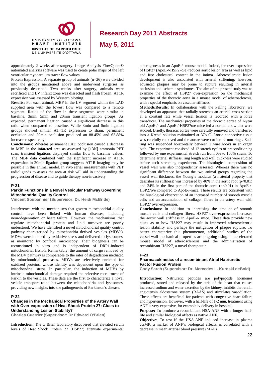

**May 5, 2011**

approximately 2 weeks after surgery. Image Analysis FlowQuant© automated analysis software was used to create polar maps of the left ventricular myocardium tracer flow values.

Protein Expression: A separate group of animals (n=26) were divided into the groups mentioned above and underwent surgeries as previously described. Two weeks after surgery, animals were sacrificed and LV infarct zone was dissected and flash frozen. AT1R expression was assessed by Western blotting.

**Results:** For each animal, MBF in the LV segment within the LAD supplied area with the lowest flow was compared to a remote segment. Ratios of the flow in these segments were similar in baseline, 3min, 5min and 20min transient ligation groups. As expected, permanent ligation caused a significant decrease in this ratio when compared to baseline. While 3min and 5min ligation groups showed similar AT¬1R expression to sham, permanent occlusion and 20min occlusion produced an 88.45% and 63.88% increase respectively.

**Conclusions:** Whereas permanent LAD occlusion caused a decrease in MBF in the infarcted area as assessed by [13N] ammonia PET scan, transient ligations displayed similar flow to baseline values. The MBF data combined with the significant increase in AT1R expression in 20min ligation group suggests AT1R imaging may be possible in this animal model. In vivo serial measurements with PET radioligands to assess the area at risk will aid in understanding the progression of disease and to guide therapy non-invasively.

#### **P-21**

#### **Parkin Functions in a Novel Vesicular Pathway Governing Mitochondrial Quality Control**

**Vincent Soubannier (Supervisor: Dr. Heidi McBride)**

Interference with the mechanisms that govern mitochondrial quality control have been linked with human diseases, including neurodegenration or heart failure. However, the mechanisms that regulate mitochondrial protein and lipid turnover are poorly understood. We have identified a novel mitochondrial quality control pathway characterized by mitochondria derived vesicles (MDVs). MDVs were induced by oxidative stress and delivered to lysosomes, as monitored by confocal microscopy. Their biogenesis can be reconstituted in vitro and is independent of DRP1-induced mitochondrial fission. Remarkably, the amount of cargo removed by the MDV pathway is comparable to the rates of degradation mediated by mitochondrial proteases. MDVs are selectively enriched for oxidized proteins, whose identity was dependent upon the type of mitochondrial stress. In particular, the induction of MDVs by intrinsic mitochondrial damage required the selective recruitment of Parkin to the vesicles. These data are the first to characterize a novel vesicle transport route between the mitochondria and lysosomes, providing new insights into the pathogenesis of Parkinson's disease.

#### **P-22**

### **Changes in the Mechanical Properties of the Artery Wall with Over-expression of Heat Shock Protein 27: Clues to Understanding Lesion Stability?**

**Charles Cuerrier (Supervisor: Dr Edward O'Brien)**

**Introduction:** The O'Brien laboratory discovered that elevated serum levels of Heat Shock Protein 27 (HSP27) attenuate experimental

atherogenesis in an ApoE-/- mouse model. Indeed, the over-expression of HSP27 (ApoE-/-HSP27o/e) reduces aortic lesion area as well as lipid and free cholesterol content in the intima. Atherosclerotic lesion development is also associated with arterial stiffening; however, advanced plaques may be prone to rupture resulting in arterial occlusion and ischemic syndromes. The aim of the present study was to examine the effect of HSP27 over-expression on the mechanical properties of the thoracic aorta in a mouse model of atherosclerosis, with a special emphasis on vascular stiffness.

**Methods/Results:** In collaboration with the Pelling laboratory, we developed an apparatus that radially stretches an arterial cross-section at a constant rate while vessel tension is recorded with a force transducer. The mechanical properties of the thoracic aortae of 1-year old ApoE-/- and ApoE-/-HSP27o/e mice fed a normal chow diet were studied. Briefly, thoracic aortae were carefully removed and transferred into a Krebs' solution maintained at 37o C. Loose connective tissue was carefully removed and the aortae were cut into 2-mm rings. Each ring was suspended horizontally between 2 wire hooks in an organ bath. The experiment consisted of 12 stretch cycles of preconditioning followed by one experimental stretch run from 0% to 100% strain. To determine arterial stiffness, ring length and wall thickness were studied before each stretching experiment. The histological composition of vessel wall was also independently assessed. Whereas there was no significant difference between the two animal groups regarding the vessel wall thickness, the Young's modulus (a material property that describes its stiffness) was increased by 40% in the aortic root  $(p<0.01)$ and 24% in the first part of the thoracic aorta  $(p<0.01)$  in ApoE-/-HSP27o/e compared to ApoE-/-mice. These results are consistent with the histological observation of an increased number of smooth muscle cells and an accumulation of collagen fibers in the artery wall with HSP27 over-expression.

**Conclusions**: In addition to increasing the amount of smooth muscle cells and collagen fibers, HSP27 over-expression increases the aortic wall stiffness in ApoE-/- mice. These data provide new clues as to how HSP27 may result in improved atherosclerotic lesion stability and perhaps the mitigation of plaque rupture. To better characterize this phenomenon, additional studies of the vessel wall mechanical properties are ongoing using an accelerated mouse model of atherosclerosis and the administration of recombinant HSP27, a novel therapeutic.

#### **P-23**

#### **Pharmacokinetics of a recombinant Atrial Natriuretic Factor Fusion Protein**

**Cody Sarch (Supervisor: Dr. Mercedes L. Kuroski deBold)**

**Introduction:** Natriuretic peptides are polypeptide hormones produced, stored and released by the atria of the heart that causes increased sodium and water excretion by the kidney, inhibits the rennin angiotensin aldosterone system (RAAS) and stimulates vasodilation. These effects are beneficial for patients with congestive heart failure and hypertension. However, with a half-life of 1-2 min, treatment using ANF is very expensive, for example iv delivery in hospital.

**Purpose:** To produce a recombinant HSA-ANF with a longer halflife and similar biological affects as native ANF.

**Objective:** To test if the HSA-ANF induced increase in plasma cGMP, a marker of ANF's biological effects, is correlated with a decrease in mean arterial blood pressure (MAP).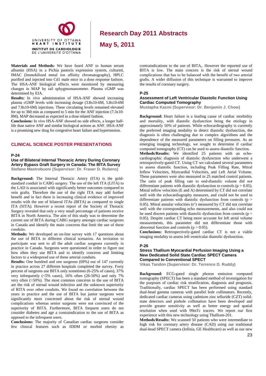

**May 5, 2011**

**Materials and Methods:** We have fused ANF to human serum albumin (HSA) in a Pichia pastoris expression system, cultured, IMAC (Immobilized metal ion affinity chromatography), HPLC purified and injected into Cd1 male mice in a dose response fashion. The HSA-ANF biological effects were monitored by measuring changes in MAP by tail sphygmomanometer. Plasma cGMP was determined by EIA.

**Results:** In vivo administration of HSA-ANF showed increasing plasma cGMP levels with increasing dosage (3.8x10-6M, 5.8x10-6M and 7.8x10-6M) injections. These circulating levels remained elevated for up to 360 min as compared to 5 min for the ANF injection (7.3x10- 8M). MAP decreased as expected in a dose related fashion.

**Conclusions:** In vivo HSA-ANF showed no side effects, a longer halflife than native ANF and similar biological actions as ANF. HSA-ANF is a promising new drug for congestive heart failure and hypertension.

## **CLINICAL SCIENCE POSTER PRESENTATIONS**

#### **P-24**

#### **Use of Bilateral Internal Thoracic Artery During Coronary Artery Bypass Graft Surgery in Canada: The BITA Survey Stefano Mastrobuoni (Supervisor: Dr. Fraser D. Rubens)**

**Background:** The Internal Thoracic Artery (ITA) is the goldstandard conduit in CABG surgery. The use of the left ITA (LITA) to the LAD is associated with significantly better outcomes compared to vein grafts. Therefore the use of the right ITA may add further benefit and in fact there is increasing clinical evidence of improved results with the use of bilateral ITAs (BITA) as compared to single ITA (SITA). However a recent report of the Society of Thoracic Surgery revealed that only a very small percentage of patients receive BITA in North America. The aim of this study was to determine the current use of BITA during CABG surgery amongst cardiac surgeons in Canada and identify the main concerns that limit the use of these conduits.

**Methods:** We developed an on-line survey with 17 questions about the use of BITA in different clinical scenarios. An invitation to participate was sent to all the adult cardiac surgeons currently in practice in Canada. Surgeons were questioned in order to figure out how often they use BITA and to identify concerns and limiting factors to a widespread use of these arterial conduits.

**Results:** One hundred and one surgeons (69%) out of 147 currently in practice across 27 different hospitals completed the survey. Forty percent of surgeons use BITA only sometimes (6-25% of cases), 37% very infrequently (<5% cases), 16% often (26-50%) and only 7% very often (>50%). The most common concerns to the use of BITA are the risk of sternal wound infection and the unknown superiority of RITA over other conduits. We found no correlation between the years in practice and the use of BITA but junior surgeons were significantly more concerned about the risk of sternal wound complications whereas senior surgeons were not convinced of the superiority of BITA. Furthermore, BITA frequent users do not consider diabetes and age a contraindication to the use of BITA as opposed to the infrequent users.

**Conclusions:** The majority of Canadian cardiac surgeons consider few clinical features such as IDDM or morbid obesity as contraindications to the use of BITA,. However the reported use of BITA is low. The main concern is the risk of sternal wound complications that has to be balanced with the benefit of two arterial grafts. A wider diffusion of this technique is warranted to improve the results of coronary surgery.

#### **P-25**

### **Assessment of Left Ventricular Diastolic Function Using Cardiac Computed Tomography**

**Mustapha Kazmi (Supervisor: Dr. Benjamin J. Chow)**

**Background:** Heart failure is a leading cause of cardiac morbidity and mortality, with diastolic dysfunction being the etiology in approximately 50% of patients. While echocardiography is currently the preferred imaging modality to detect diastolic dysfunction, the diagnosis is often challenging due to complex algorithms and the dependence of the measured parameters on filling pressures. As an emerging imaging technology, we sought to determine if cardiac computed tomography (CT) can be used to assess diastolic function. **Methods/Results:** We identified 25 patients with an echocardiographic diagnosis of diastolic dysfunction who underwent a retrospectively-gated CT. Using CT we calculated several parameters to assess diastolic function, including Peak Filling Rate, Mitral Inflow Velocities, Myocardial Velocities, and Left Atrial Volume. These parameters were also measured in 25 matched control patients. The ratio of peak filling rate to end-diastolic volume did not differentiate patients with diastolic dysfunction to controls ( $p > 0.05$ ). Mitral inflow velocities (E and A) determined by CT did not correlate well with the echocardiography measures, and could not be used to differentiate patients with diastolic dysfunction from controls ( $p >$ 0.05). Mitral annular velocities (e') measured by CT did not correlate well with the corresponding echo measurements, and also could not be used discern patients with diastolic dysfunction from controls ( $p$  > 0.05). Despite cardiac CT being more accurate for left atrial volume measurements, this parameter did not differentiate those with abnormal function and controls ( $p > 0.05$ ).

**Conclusions:** Retrospectively-gated cardiac CT is not a viable imaging modality to assess left ventricular diastolic dysfunction.

#### **P-26**

### **Stress Thallium Myocardial Perfusion Imaging Using a New Dedicated Solid State Cardiac SPECT Camera Compared to Conventional SPECT**

**Vikas Tandon (Supervisor: Dr. Terrence D. Ruddy)**

**Background:** ECG-gated single photon emission computed tomography (SPECT) has been a standard method of investigation for the purposes of cardiac risk stratification, diagnosis and prognosis. Traditionally, cardiac SPECT has been performed using standard dual-head gamma cameras with parallel hole collimators. Recently, dedicated cardiac cameras using cadmium zinc telluride (CZT) solidstate detectors and pinhole collimation have been developed and provide greater sensitivity as well as better energy and spatial resolution when used with 99mTc tracers. We report our first experience with this new technology using Thallium-201.

**Methods/Results:** We scanned 50 patients who were intermediate to high risk for coronary artery disease (CAD) using our traditional dual-head SPECT camera (Infinia, GE Healthcare) as well as our new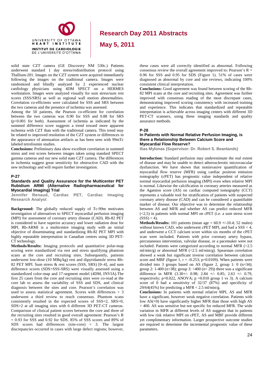

**May 5, 2011**

solid state CZT camera (GE Discovery NM 530c.) Patients underwent standard 1 day stress/redistribution protocol using Thallium-201. Images on the CZT system were acquired immediately following the images on the traditional camera. Images were randomized and blindly analyzed by 2 experienced nuclear cardiology physicians using 4DM SPECT on a HERMES workstation. Images were analyzed visually for sum stress/sum rest scores (SSS/SRS) as well as regional wall motion abnormalities. Correlation co-efficients were calculated for SSS and SRS between the two cameras and the presence of ischemia was assessed.

UNIVERSITY OF OTTAWA<br>HEART INSTITUTE **INSTITUT DE CARDIOLOGIE** DE L'UNIVERSITÉ D'OTTAWA

Among the 50 patients, the Pearson co-efficient for correlation between the two cameras was 0.90 for SSS and 0.88 for SRS  $(p<0.001$  for both). Assessment of ischemia as indicated by the summed difference score suggests a trend toward more apparent ischemia with CZT than with the traditional camera. This trend may be related to improved resolution of the CZT system or differences in the appearance of attenuation artifacts as has been seen with 99mTc labeled tetrofosmin studies.

**Conclusions:** Preliminary data show excellent correlation in summed stress and rest scores between images taken using standard SPECT gamma cameras and our new solid state CZT camera. The differences in ischemia suggest great sensitivity for obstructive CAD with the new technology and will require further investigation.

#### **P-27**

#### **Standards and Quality Assurance for the Multicenter PET Rubidium ARMI (Alternative Radiopharmaceutical for Myocardial Imaging) Trial**

**Jennifer Renaud, Cardiac PET, Cardiac Imaging Research Analyst**

**Background:** The globally reduced supply of Tc-99m motivates investigation of alternatives to SPECT myocardial perfusion imaging (MPI) for assessment of coronary artery disease (CAD). Rb-82 PET is considered to have superior accuracy and lower radiation dose for MPI. Rb-ARMI is a multicentre imaging study with an initial objective of disseminating and standardizing Rb-82 PET MPI with highly repeatable interpretation in Canadian centres using 3D PET-CT technology.

**Methods/Results:** Imaging protocols and quantitative polar-map scoring were standardized via rest and stress qualifying phantom scans at the core and recruiting sites. Subsequently, patients underwent low-dose (10 MBq/kg) rest and dipyridamole stress Rb-82 PET MPI. Sum stress & rest scores (SSS, SRS) [0–4], and sum difference scores (SDS=SSS-SRS) were visually assessed using a standardized color-map and 17-segment model (4DM, INVIA).The first 25 cases from the core and recruiting sites were co-read at the core lab to assess the variability of SSS and SDS, and clinical diagnosis between the sites and core. Pearson's correlation was used to assess statistical agreement. Scores with differences > 3 underwent a third review to reach consensus. Phantom scans consistently resulted in the expected scores of SSS=2, SRS=0, SDS=2 at all imaging sites with 6 different 3D PET-CT cameras. Comparison of clinical patient scores between the core and three of the recruiting sites resulted in good overall agreement: Pearson's R  $= 0.93$  for SSS and 0.92 for SDS. 85% of SSS scores and 89% of SDS scores had differences (site-core) = 3. The largest discrepancies occurred in cases with large defect regions; however,

these cases were all correctly identified as abnormal. Following consensus review the overall agreement improved to: Pearson's  $R =$ 0.96 for SSS and 0.95 for SDS (Figure 1). 51% of cases were diagnosed as abnormal by core and site reviews, indicating 100% consistent clinical interpretation.

**Conclusions:** Good agreement was found between scoring of the Rb-82 MPI scans at the core and recruiting sites. Agreement was further improved with consensus reading of the most discrepant cases, demonstrating improved scoring consistency with increased training and experience. This indicates that standardized and repeatable interpretation is achievable across imaging centers with different 3D PET-CT scanners, using these imaging standards and quality assurance methods.

#### **P-28**

#### **In Patients with Normal Relative Perfusion Imaging, is there a Relationship Between Calcium Score and Myocardial Flow Reserve?**

**Ilias Mylonas (Supervisor: Dr. Robert S. Beanlands)**

**Introduction:** Standard perfusion may underestimate the real extent of disease and may be unable to detect atherosclerotic microvascular dysfunction. We have shown that noninvasive quantification of myocardial flow reserve (MFR) using cardiac positron emission tomography (cPET) has prognostic value independent of relative normal myocardial perfusion imaging (MPI) even when relative MPI is normal. Likewise the calcification in coronary arteries measured as the Agatston score (AS) on cardiac computed tomography (CCT) represents a valuable tool for stratification of patients with suspected coronary artery disease (CAD) and can be considered a quantifiable marker of disease. Our objective was to determine the relationship between AS and MFR and whether AS can predict reduced MFR  $(\leq 2.5)$  in patients with normal MPI on cPET (i.e. a sum stress score  $(SSS) < 4$ ).

**Methods/Results:** 101 patients (mean age  $= 60.9 +10.4$ ; 52 males) without known CAD, who underwent cPET MPI, and had a  $SSS < 4$ , and underwent a CCT calcium score within six months of the cPET scan were included. Patients with prior coronary artery bypass, percutaneous intervention, valvular disease, or a pacemaker were not included. Patients were categorized according to normal MFR  $(>2.5$ ml/min/g) or abnormal MFR (<2.5 ml/min/g). Spearman correlation showed a weak but significant inverse correlation between calcium score and MBF (figure 1,  $r = -0.253$ ; p=0.0109). When patients were divided into 3 groups based on AS (figure 2, group 1: 0 (n=34); group 2: 1-400 (n=38); group 3: >400 (n= 29)) there was a significant difference in MFR (3.30+/- 0.98; 2.84 +/- 0.85; 2.63 +/- 0.79, respectively;  $p=0.022$ , ANOVA;  $p=0.010$  group 1 vs 3). A calcium score of 0 had a sensitivity of  $32/37$   $(87%)$  and specificity of 29/64(45%) for predicting a MFR < 2.5 ml/min/g.

**Conclusions:** In patients with normal relative MPI, AS and MFR have a significant, however weak negative correlation. Patients with low  $AS(=0)$  have significantly higher MFR than those with high AS > 400. AS was sensitive but not specific for reduced MFR. The wide variation in MFR at different levels of AS suggests that in patients with low risk relative MPI on cPET, AS and MBF provide different yet complimentary information. Larger prospective outcome studies are required to determine the incremental prognostic value of these parameters.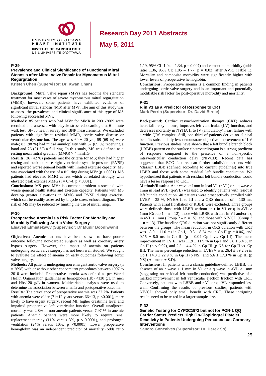

**May 5, 2011**

#### **P-29**

#### **Prevalence and Clinical Significance of Functional Mitral Stenosis after Mitral Valve Repair for Myxomatous Mitral Regurgitation**

**Kristen Chen (Supervisor: Dr. Kwan Chan)**

**Background:** Mitral valve repair (MVr) has become the standard treatment for most cases of severe myxomatous mitral regurgitation (MMR); however, some patients have exhibited evidence of significant mitral stenosis (MS) after MVr. The aim of this study was to assess the prevalence and clinical significance of this type of MS following successful MVr.

**Methods:** 85 patients who had MVr for MMR in 2001-2009 were recruited and assessed with bicycle stress echocardiogram, 6 minute walk test, SF-36 health survey and BNP measurements. We excluded patients with significant residual MMR, aortic valve disease or ventricular dysfunction. The age was  $69 \pm 20$  yrs; 59 (69 %) were male; 83 (98 %) had mitral annuloplasty with 57 (69 %) receiving a band and 26 (31 %) a full ring. In this study, MS was defined as a resting mean mitral gradient (MMG) > 4 mmHG.

**Results:** 36 (42 %) patients met the criteria for MS; they had higher resting and peak exercise right ventricular systolic pressure (RVSP) and reported worse general health with limited exercise capacity. MS was associated with the use of a full ring during MVr ( $p < .0001$ ). MS patients had elevated MMG at rest which correlated strongly with elevated peak exercise MMG ( $r = 0.74$ ,  $p < .0001$ ).

**Conclusions:** MS post MVr is common problem associated with worse general health status and exercise capacity. Patients with MS develop greater elevations in MMG and RVSP during exercise, which can be readily assessed by bicycle stress echocardiogram. The risk of MS may be reduced by limiting the use of mitral rings.

#### **P-30**

#### **Preoperative Anemia is a Risk Factor For Mortality and Morbidity Following Aortic Valve Surgery**

**Elsayed Elmistekawy (Supervisor: Dr Munir Boodhwani)**

**Objectives:** Anemic patients have been shown to have poorer outcome following non-cardiac surgery as well as coronary artery bypass surgery. However, the impact of anemia on patients undergoing aortic valve surgery has not been well studied. We sought to evaluate the effect of anemia on early outcomes following aortic valve surgery.

**Methods:** All patients undergoing non emergent aortic valve surgery (n  $= 2698$ ) with or without other concomitant procedures between 1997 to 2010 were included. Preoperative anemia was defined as per World Health Organization guidelines as hemoglobin (Hb)  $\langle 130 \text{ g/L} \rangle$  in men and Hb<120 g/L in women. Multivariable analyses were used to determine the association between anemia and postoperative outcome.

**Results:** The prevalence of preoperative anemia was 32.2%. Patients with anemia were older  $(71+12)$  years versus 66+13, p <0.001), more likely to have urgent surgery, recent MI, higher creatinine level and impaired preoperative left ventricular function. Overall unadjusted mortality was 2.8% in non-anemic patients versus 7.97 % in anemic patients. Anemic patients were more likely to require renal replacement therapy (11% versus  $3\%$ ,  $p < 0.0001$ ), and prolonged ventilation  $(24\% \text{ versus } 10\%, \text{ p } < 0.0001)$ . Lower preoperative hemoglobin was an independent predictor of mortality (odds ratio

1.19, 95% CI: 1.04 – 1.34, p = 0.007) and composite morbidity (odds ratio 1.36, 95% CI: 1.05 – 1.77, p = 0.02) after AVR. (Table 1). Mortality and composite morbidity were significantly higher with lower levels of preoperative hemoglobin.

**Conclusions:** Preoperative anemia is a common finding in patients undergoing aortic valve surgery and is an important and potentially modifiable risk factor for post-operative morbidity and mortality.

### **P-31**

## **R in V1 as a Predictor of Response to CRT**

**Mark Perrin (Supervisor: Dr. David Birnie)**

**Background:** Cardiac resynchronization therapy (CRT) reduces heart failure symptoms, improves left ventricular (LV) function, and decreases mortality in NYHA II to IV (ambulatory) heart failure with a wide QRS complex. Still, one third of patients derive no clinical benefit; substantially less demonstrate objective improvement of LV function. Previous studies have shown that a left bundle branch block (LBBB) pattern on the surface electrocardiogram is a strong predictor of response compared to the presence of a non-specific intraventricular conduction delay (NIVCD). Recent data has suggested that ECG features can further subdivide patients with 'classic' LBBB (defined according to current guidelines) into true LBBB and those with some residual left bundle conduction. We hypothesized that patients with residual left bundle conduction would have a lesser response to CRT.

**Methods/Results:** An r wave > 1mm in lead V1 (r-V1) or a q wave > 1mm in lead aVL (q-aVL) was used to identify patients with residual left bundle conduction. 40 patients were prospectively enrolled with LVEF = 35 %. NYHA II to III and a  $\overrightarrow{ORS}$  duration of = 130 ms. Patients with atrial fibrillation or RBBB were excluded. Three groups were defined: those with LBBB without an r in V1 or q in  $aVL >$ 1mm (Group  $1 - n = 12$ ); those with LBBB with an r in V1 and/or a q in  $aVL > 1$ mm (Group  $2 - n = 15$ ); and those with NIVCD (Group 3)  $-$  n = 13). The baseline QRS duration was not significantly different between the groups. The mean reduction in QRS duration with CRT was  $-8.0 \pm 11.0$  ms in Gp I,  $-0.8 \pm 8.24$  ms in Gp II (p = 0.06), and  $0.15 \pm 8.0$  ms in Gp III (p = 0.04 Gp I vs. Gp III). The mean improvement in LV EF was  $11.9 \pm 11.9$  % in Gp I and  $3.8 \pm 5.4$  % in Gp II (p < 0.02), and  $2.5 \pm 4.4$  % in Gp III (p NS for Gp II vs. Gp III). The mean percentage reduction in LVESV was  $26.4 \pm 39.2$  % in Gp I,  $14.3 \pm 22.9$  % in Gp II (p NS), and  $5.6 \pm 17.3$  % in Gp III (p NS) (All mean  $\pm$  S.D).

**Conclusions:** In patients with a classic guideline-defined LBBB, the absence of an r wave  $> 1$  mm in V1 or a q wave in aVL  $> 1$ mm (suggesting no residual left bundle conduction) was predictive of a marked improvement in left ventricular ejection fraction with CRT. Conversely, patients with LBBB and r-V1 or q-aVL responded less well. Confirming the results of previous studies, patients with NIVCD showed only small benefit with CRT. These intriguing results need to be tested in a larger sample size.

#### **P-32**

#### **Genetic Testing for CYP2C19\*2 but not for PON-1 QQ Carrier Status Predicts High On-Clopidogrel Platelet Reactivity in Patients Undergoing Percutaneous Coronary Interventions**

**Sandro Goncalves (Supervisor: Dr. Derek So)**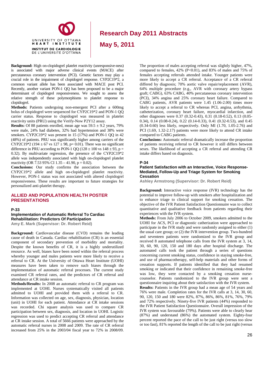

**May 5, 2011**

**Background:** High on-clopidogrel platelet reactivity (unresponsive-ness) is associated with major adverse clinical events (MACE) after percutaneous coronary intervention (PCI). Genetic factors may play a crucial role in the impairment of clopidogrel response. CYP2C19\*2, a common variant allele has been associated with MACE post PCI. Recently, another variant PON-1 QQ has been proposed to be a major determinant of clopidogrel responsiveness. We sought to assess the relative strength of these polymorphisms to platelet response to clopidogrel.

UNIVERSITY OF OTTAWA<br>HEART INSTITUTE **INSTITUT DE CARDIOLOGIE** DE L'UNIVERSITÉ D'OTTAWA

**Methods:** Patients undergoing non-emergent PCI after a 600mg bolus of clopidogrel were sequenced for  $\overline{CYP2C19*2}$  and PON-1  $\overline{OO}$ carrier status. Response to clopidogrel was measured in platelet reactivity units (PRU) using the Verify-Now P2Y12 assay.

**Results:** Of 88 patients enrolled, mean age was  $59.5 \pm 9.2$  years,  $79\%$ were male, 24% had diabetes, 32% had hypertension and 38% were smokers. CYP2C19\*2 was present in 15 (17%) and PON-1 OO in 42 (48%) of patients. PRU was significantly higher among carriers of the CYP2C19<sup>\*</sup>2 (194 ± 67 vs 127 ± 98, p= 0.01). There was no significant difference in PRU according to PON-1 QQ (128  $\pm$  100 vs 148  $\pm$  93, p = 0.32). By multivariate regression, the presence of the CYP2C19\*2 allele was independently associated with high on-clopidogrel platelet reactivity (OR 7.53 95% CI  $1.35 - 41.90$ ,  $p = 0.02$ ).

**Conclusions:** Our study confirms the association between the CYP2C19\*2 allele and high on-clopidogrel platelet reactivity. However, PON-1 status was not associated with altered clopidogrel responsiveness. These results are important to future strategies for personalized anti-platelet therapy.

### **ALLIED AND POPULATION HEALTH POSTER PRESENTATIONS**

#### **P-33**

**Implementation of Automatic Referral To Cardiac Rehabilitation: Predictors Of Participation Amy E. Mark (Supervisor: Dr. Robert Reid)**

**Background:** Cardiovascular disease (CVD) remains the leading cause of death in Canada. Cardiac rehabilitation (CR) is an essential component of secondary prevention of morbidity and mortality. Despite the known benefits of CR, it is a highly underutilized resource. As well, biases have been noted within the referral process whereby younger and males patients were more likely to receive a referral to CR. At the University of Ottawa Heart Institute (UOHI) measures have been taken to remove such biases through the implementation of automatic referral processes. The current study examined CR referral rates, and the predictors of CR referral and attendance at CR intake session.

**Methods/Results:** In 2008 an automatic referral to CR program was implemented at UOHI. Nurses systematically visited all patients admitted to UOHI and provided them with a referral to CR. Information was collected on age, sex, diagnosis, physician, location (unit) in UOHI for each patient. Attendance at CR intake sessions was recorded. Chi square analysis was used to compare CR participation between sex, diagnosis, and location in UOHI. Logistic regression was used to predict accepting CR referral and attendance at CR intake session. A total of 5666 patients were approached by the automatic referral nurses in 2008 and 2009. The rate of CR referral increased from 25% in the 2003/04 fiscal year to 72% in 2008/09.

The proportion of males accepting referral was slightly higher, 47%, compared to females,  $42\%$  (P<0.01), and 83% of males and 75% of females accepting referrals attended intake. Younger patients were more likely to accept a CR referral. Acceptance of a CR referral differed by diagnosis; 70% aortic valve repair/replacement (AVR), 64% multiple procedure (e.g., AVR with coronary artery bypass graft; CABG), 63% CABG, 40% percutaneous coronary intervention (PCI), 34% angina and 25% coronary heart failure. Compared to CABG patients, AVR patients were 1.45 (1.06-2.00) times more likely to accept a referral to CR whereas PCI, angina, arrhythmia, catheterization, coronary heart failure, myocardial infarction, and other diagnoses were 0.37 (0.32-0.43), 0.31 (0.18-0.52), 0.13 (0.05- 0.34), 0.14 (0.08-0.24), 0.22 (0.14-0.33), 0.41 (0.32-0.53), and 0.45 (0.34-0.60) less likely, respectively. Only MI (1.70, 1.05-2.76) and PCI (1.69, 1.32-2.17) patients were more likely to attend CR intake compared to CABG patients.

**Conclusions:** Automatic referral dramatically increase the proportion of patients receiving referral to CR however it still differs between sexes. The likelihood of accepting a CR referral and attending CR intake differs based on diagnosis.

#### **P-34**

#### **Patient Satisfaction with an Interactive, Voice Response-Mediated, Follow-Up and Triage System for Smoking Cessation**

**Ashley Armstrong (Supervisor: Dr. Robert Reid)**

**Background:** Interactive voice response (IVR) technology has the potential to improve follow-up with smokers after hospitalization and to enhance triage to clinical support for smoking cessation. The objective of the IVR Patient Satisfaction Questionnaire was to collect quantitative and qualitative feedback from patients regarding their experiences with the IVR system.

**Methods:** From July 2006 to October 2009, smokers admitted to the UOHI for ACS, PCI or diagnostic catherization were approached to participate in the IVR study and were randomly assigned to either (1) the usual care group; or (2) the IVR intervention group. Two-hundred and seventeen patients were randomized to the IVR group and received 8 automated telephone calls from the IVR system at 3, 14, 30, 60, 90, 120, 150 and 180 days after hospital discharge. The automated calls took the patient through a series of questions concerning current smoking status, confidence in staying smoke-free, and use of pharmacotherapy, self-help materials and other forms of cessation supports. If patients identified that they had resumed smoking or indicated that their confidence in remaining smoke-free was low, they were contacted by a smoking cessation nursecounselor. Patients randomized to the IVR group were sent a questionnaire inquiring about their satisfaction with the IVR system.

**Results:** Patients in the IVR group had a mean age of 54 years and 76% were male. Completion rates for the IVR calls at 3, 14, 30, 60, 90, 120, 150 and 180 were 82%, 87%, 86%, 86%, 81%, 76%, 79% and 72% respectively. Ninety-five IVR patients (44%) responded to the IVR Patient Satisfaction Questionnaire. Overall impression of the IVR system was favourable (79%). Patients were able to clearly hear (87%) and understand (86%) the automated system. Eighty-four percent reported the pace of the call to be just right (versus too slow or too fast), 81% reported the length of the call to be just right (versus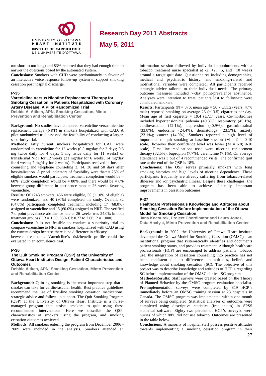

**May 5, 2011**

too short to too long) and 83% reported that they had enough time to answer the questions posed by the automated system.

**Conclusions:** Smokers with CHD were predominately in favour of an interactive voice response follow-up system to support smoking cessation post hospital discharge.

#### **P-35**

#### **Varenicline Versus Nicotine Replacement Therapy for Smoking Cessation in Patients Hospitalized with Coronary Artery Disease: A Pilot Randomized Trial**

**Debbie A. Aitken, APN, Smoking Cessation, Minto Prevention and Rehabilitation Center**

**Background:** No studies have compared varenicline versus nicotine replacement therapy (NRT) in smokers hospitalized with CAD. A pilot randomized trial assessed the feasibility of conducting a larger, superiority trial.

**Methods:** Fifty current smokers hospitalized for CAD were randomized to varenicline for 12 weeks (0.5 mg/day for 3 days; 0.5 mg twice daily for 4 days; 1 mg twice daily for 11 weeks) or transdermal NRT for 12 weeks (21 mg/day for 6 weeks; 14 mg/day for 4 weeks; 7 mg/day for 2 weeks). Participants received in-hospital counseling and telephone counseling 3, 14, 30 and 50 days after hospitalization. A priori indicators of feasibility were that:  $= 25\%$  of eligible smokers would participate; treatment completion would be  $=$ 60%; study completion would be = 80%; and there would be =  $6\%$ between-group difference in abstinence rates at 26 weeks favoring varenicline.

**Results:** Of 1243 smokers, 456 were eligible, 50 (11.0% of eligible) were randomized, and 40 (80%) completed the study. Overall, 32 (64.0%) participants completed treatment, including 17 (68.0%) assigned to varenicline and 15 (60.0%) assigned to NRT. The verified 7-d point prevalence abstinence rate at 26 weeks was 24.0% in both treatment groups ( $OR = 1.00$ ; 95% CI; 0.27 to 3.66;  $P = 1.000$ )

**Conclusions:** It is not feasible to conduct a superiority trial to compare varenicline to NRT in smokers hospitalized with CAD using the current design because there is no difference in efficacy

between treatments. Varenicline's risk/benefit profile could be evaluated in an equivalence trial.

#### **P-36**

#### **The Quit Smoking Program (QSP) at the University of Ottawa Heart Institute: Design, Patient Characteristics and Outcomes**

**Debbie Aitken, APN, Smoking Cessation, Minto Prevention and Rehabilitation Center**

**Background:** Quitting smoking is the most important step that a smoker can take for cardiovascular health. Best practice guidelines recommend the use of first-line smoking cessation medications, strategic advice and follow-up support. The Quit Smoking Program (QSP) at the University of Ottawa Heart Institute is a nursemanaged program that assists smokers to quit using these recommended interventions. Here we describe the QSP, characteristics of smokers using the program, and smoking cessation outcomes achieved.

**Methods:** All smokers entering the program from December 2006 - 2009 were included in the analysis. Smokers attended an information session followed by individual appointments with a tobacco treatment nurse specialist at  $-2$ ,  $+2$ ,  $+5$ , and  $+10$  weeks around a target quit date. Questionnaires including demographics, medical and psychiatric history, and smoking-related and motivational variables were completed. All participants received strategic advice tailored to their individual needs. The primary outcome measures included 7-day point-prevalence abstinence. Analyses were intention to treat; patients lost to follow-up were considered smokers.

**Results:** Participants ( $N = 876$ ; mean age =  $50.7(\pm 11.2)$  years; 47% male) reported smoking on average  $23$  ( $\pm$ 13.5) cigarettes per day. Mean age of first cigarette =  $19.4$  ( $\pm 7.1$ ) years. Co-morbidities included hypertension/dislipidemia (49.3%), respiratory (45.1%), cardiovascular (42.1%), depression (40.9%); gastrointestinal (33.8%); endocrine (24.4%), dermatology (23.5%); anxiety  $(23.1\%)$ ; cancer  $(14.0\%)$ ; Smokers reported a high level of importance to quit smoking at baseline session  $(M = 9.4; 0.10)$ scale), however their confidence level was lower ( $M = 6.8$ ; 0-10 scale). First line medications used were nicotine replacement therapy  $(82.5\%)$ , bupropion  $(7.7\%)$ ; varenicline  $(7.1\%)$ . On average attendance was 3 out of 4 recommended visits. The confirmed quit rate at the end of the QSP is 18%.

**Conclusions:** The QSP serves primarily smokers with long smoking histories and high levels of nicotine dependence. These participants frequently are already suffering from tobacco-related illnesses and /or psychiatric illness. Despite these challenges, the program has been able to achieve clinically important improvements in cessation outcomes.

#### **P-37**

### **Healthcare Professionals Knowledge and Attitudes about Smoking Cessation Before Implementation of the Ottawa Model for Smoking Cessation**

**Jana Kocourek, Project Coordinator and Laura Jones, Data Analyst, Minto Prevention and Rehabilitation Center**

**Background:** In 2002, the University of Ottawa Heart Institute developed the Ottawa Model for Smoking Cessation (OMSC) – an institutional program that systematically identifies and documents patient smoking status, and provides treatment. Although healthcare professionals (HCP) are encouraged to address patients' tobacco use, the integration of cessation counseling into practice has not been consistent due to differences in attitudes, beliefs and knowledge about smoking cessation (SC). The objective of this project was to describe knowledge and attitudes of HCP's regarding SC before implementation of the OMSC clinical SC program.

**Methods/Results:** Staff surveys were created based on the Theory of Planned Behavior by the OMSC program evaluation specialist. Pre-implementation surveys were completed by 819 HCP's immediately before an OMSC training session at 23 hospitals in Canada. The OMSC program was implemented within one month of surveys being completed. Statistical analyses of outcomes were completed using descriptive statistics (frequencies) in SPSS statistical software. Eighty two percent of HCP's surveyed were nurses of which 88% did not use tobacco. Outcomes are presented in the table below.

**Conclusions:** A majority of hospital staff possess positive attitudes towards implementing a smoking cessation program in their